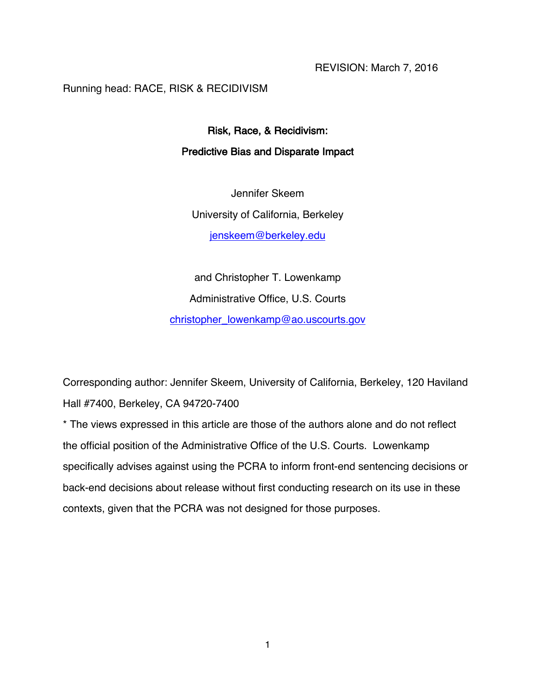# Running head: RACE, RISK & RECIDIVISM

# Risk, Race, & Recidivism: Predictive Bias and Disparate Impact

Jennifer Skeem University of California, Berkeley jenskeem@berkeley.edu

and Christopher T. Lowenkamp Administrative Office, U.S. Courts christopher\_lowenkamp@ao.uscourts.gov

Corresponding author: Jennifer Skeem, University of California, Berkeley, 120 Haviland Hall #7400, Berkeley, CA 94720-7400

\* The views expressed in this article are those of the authors alone and do not reflect the official position of the Administrative Office of the U.S. Courts. Lowenkamp specifically advises against using the PCRA to inform front-end sentencing decisions or back-end decisions about release without first conducting research on its use in these contexts, given that the PCRA was not designed for those purposes.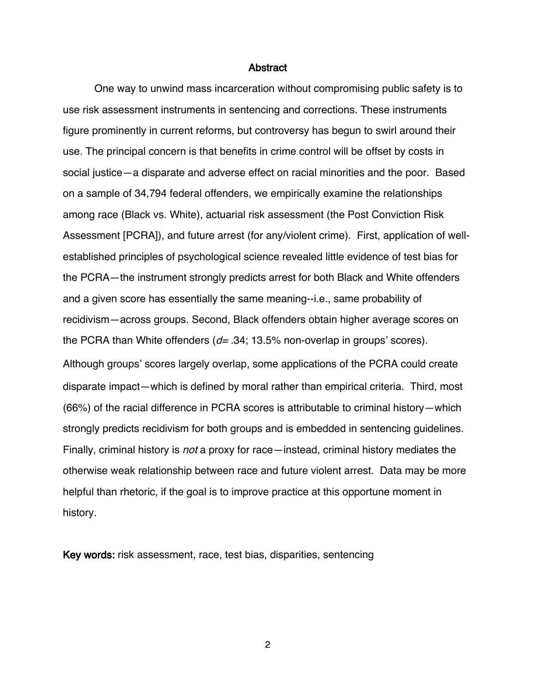#### **Abstract**

One way to unwind mass incarceration without compromising public safety is to use risk assessment instruments in sentencing and corrections. These instruments figure prominently in current reforms, but controversy has begun to swirl around their use. The principal concern is that benefits in crime control will be offset by costs in social justice—a disparate and adverse effect on racial minorities and the poor. Based on a sample of 34,794 federal offenders, we empirically examine the relationships among race (Black vs. White), actuarial risk assessment (the Post Conviction Risk Assessment [PCRA]), and future arrest (for any/violent crime). First, application of wellestablished principles of psychological science revealed little evidence of test bias for the PCRA—the instrument strongly predicts arrest for both Black and White offenders and a given score has essentially the same meaning--i.e., same probability of recidivism—across groups. Second, Black offenders obtain higher average scores on the PCRA than White offenders ( $d= 0.34$ ; 13.5% non-overlap in groups' scores). Although groups' scores largely overlap, some applications of the PCRA could create disparate impact—which is defined by moral rather than empirical criteria. Third, most (66%) of the racial difference in PCRA scores is attributable to criminal history—which strongly predicts recidivism for both groups and is embedded in sentencing guidelines. Finally, criminal history is *not* a proxy for race—instead, criminal history mediates the otherwise weak relationship between race and future violent arrest. Data may be more helpful than rhetoric, if the goal is to improve practice at this opportune moment in history.

Key words: risk assessment, race, test bias, disparities, sentencing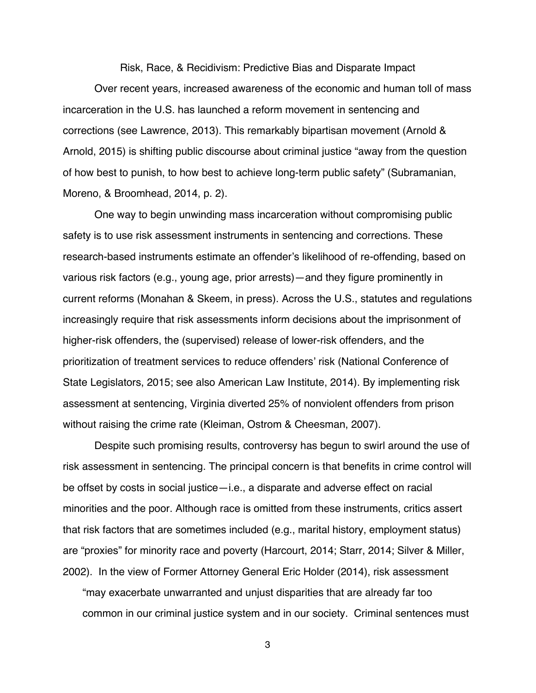Risk, Race, & Recidivism: Predictive Bias and Disparate Impact

Over recent years, increased awareness of the economic and human toll of mass incarceration in the U.S. has launched a reform movement in sentencing and corrections (see Lawrence, 2013). This remarkably bipartisan movement (Arnold & Arnold, 2015) is shifting public discourse about criminal justice "away from the question of how best to punish, to how best to achieve long-term public safety" (Subramanian, Moreno, & Broomhead, 2014, p. 2).

One way to begin unwinding mass incarceration without compromising public safety is to use risk assessment instruments in sentencing and corrections. These research-based instruments estimate an offender's likelihood of re-offending, based on various risk factors (e.g., young age, prior arrests)—and they figure prominently in current reforms (Monahan & Skeem, in press). Across the U.S., statutes and regulations increasingly require that risk assessments inform decisions about the imprisonment of higher-risk offenders, the (supervised) release of lower-risk offenders, and the prioritization of treatment services to reduce offenders' risk (National Conference of State Legislators, 2015; see also American Law Institute, 2014). By implementing risk assessment at sentencing, Virginia diverted 25% of nonviolent offenders from prison without raising the crime rate (Kleiman, Ostrom & Cheesman, 2007).

Despite such promising results, controversy has begun to swirl around the use of risk assessment in sentencing. The principal concern is that benefits in crime control will be offset by costs in social justice—i.e., a disparate and adverse effect on racial minorities and the poor. Although race is omitted from these instruments, critics assert that risk factors that are sometimes included (e.g., marital history, employment status) are "proxies" for minority race and poverty (Harcourt, 2014; Starr, 2014; Silver & Miller, 2002). In the view of Former Attorney General Eric Holder (2014), risk assessment

"may exacerbate unwarranted and unjust disparities that are already far too common in our criminal justice system and in our society. Criminal sentences must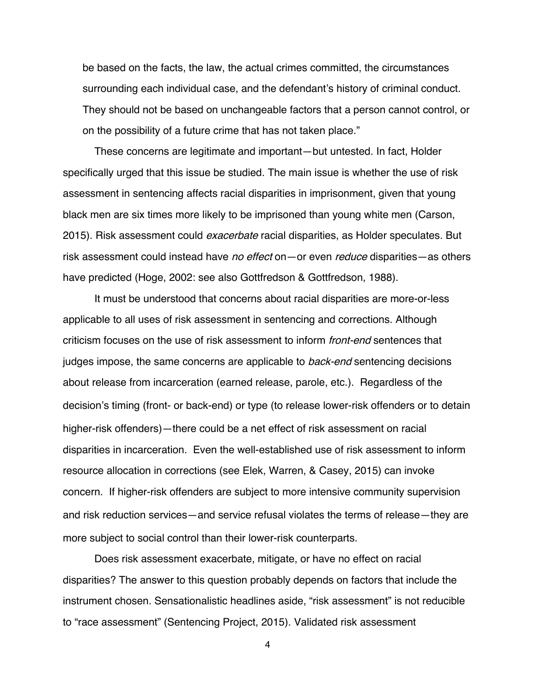be based on the facts, the law, the actual crimes committed, the circumstances surrounding each individual case, and the defendant's history of criminal conduct. They should not be based on unchangeable factors that a person cannot control, or on the possibility of a future crime that has not taken place."

These concerns are legitimate and important—but untested. In fact, Holder specifically urged that this issue be studied. The main issue is whether the use of risk assessment in sentencing affects racial disparities in imprisonment, given that young black men are six times more likely to be imprisoned than young white men (Carson, 2015). Risk assessment could *exacerbate* racial disparities, as Holder speculates. But risk assessment could instead have no effect on—or even reduce disparities—as others have predicted (Hoge, 2002: see also Gottfredson & Gottfredson, 1988).

It must be understood that concerns about racial disparities are more-or-less applicable to all uses of risk assessment in sentencing and corrections. Although criticism focuses on the use of risk assessment to inform *front-end* sentences that judges impose, the same concerns are applicable to *back-end* sentencing decisions about release from incarceration (earned release, parole, etc.). Regardless of the decision's timing (front- or back-end) or type (to release lower-risk offenders or to detain higher-risk offenders)—there could be a net effect of risk assessment on racial disparities in incarceration. Even the well-established use of risk assessment to inform resource allocation in corrections (see Elek, Warren, & Casey, 2015) can invoke concern. If higher-risk offenders are subject to more intensive community supervision and risk reduction services—and service refusal violates the terms of release—they are more subject to social control than their lower-risk counterparts.

Does risk assessment exacerbate, mitigate, or have no effect on racial disparities? The answer to this question probably depends on factors that include the instrument chosen. Sensationalistic headlines aside, "risk assessment" is not reducible to "race assessment" (Sentencing Project, 2015). Validated risk assessment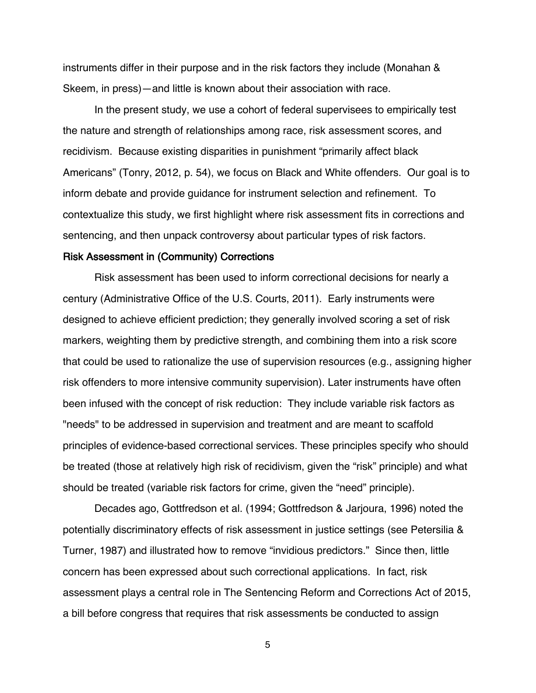instruments differ in their purpose and in the risk factors they include (Monahan & Skeem, in press)—and little is known about their association with race.

In the present study, we use a cohort of federal supervisees to empirically test the nature and strength of relationships among race, risk assessment scores, and recidivism. Because existing disparities in punishment "primarily affect black Americans" (Tonry, 2012, p. 54), we focus on Black and White offenders. Our goal is to inform debate and provide guidance for instrument selection and refinement. To contextualize this study, we first highlight where risk assessment fits in corrections and sentencing, and then unpack controversy about particular types of risk factors.

# Risk Assessment in (Community) Corrections

Risk assessment has been used to inform correctional decisions for nearly a century (Administrative Office of the U.S. Courts, 2011). Early instruments were designed to achieve efficient prediction; they generally involved scoring a set of risk markers, weighting them by predictive strength, and combining them into a risk score that could be used to rationalize the use of supervision resources (e.g., assigning higher risk offenders to more intensive community supervision). Later instruments have often been infused with the concept of risk reduction: They include variable risk factors as "needs" to be addressed in supervision and treatment and are meant to scaffold principles of evidence-based correctional services. These principles specify who should be treated (those at relatively high risk of recidivism, given the "risk" principle) and what should be treated (variable risk factors for crime, given the "need" principle).

Decades ago, Gottfredson et al. (1994; Gottfredson & Jarjoura, 1996) noted the potentially discriminatory effects of risk assessment in justice settings (see Petersilia & Turner, 1987) and illustrated how to remove "invidious predictors." Since then, little concern has been expressed about such correctional applications. In fact, risk assessment plays a central role in The Sentencing Reform and Corrections Act of 2015, a bill before congress that requires that risk assessments be conducted to assign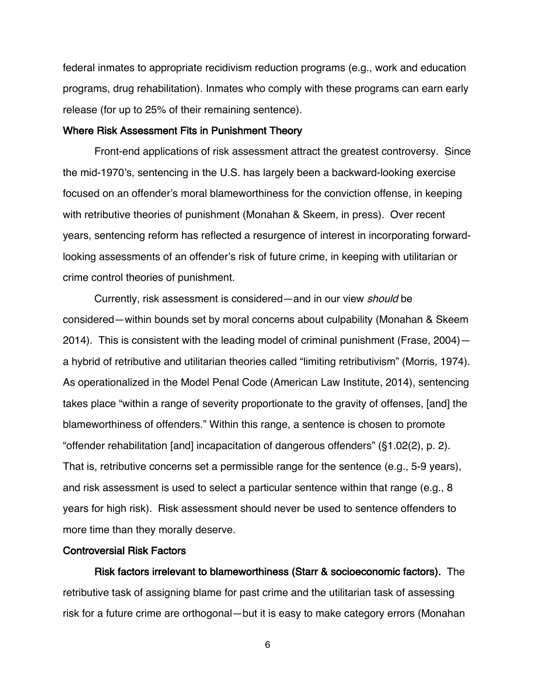federal inmates to appropriate recidivism reduction programs (e.g., work and education programs, drug rehabilitation). Inmates who comply with these programs can earn early release (for up to 25% of their remaining sentence).

# Where Risk Assessment Fits in Punishment Theory

Front-end applications of risk assessment attract the greatest controversy. Since the mid-1970's, sentencing in the U.S. has largely been a backward-looking exercise focused on an offender's moral blameworthiness for the conviction offense, in keeping with retributive theories of punishment (Monahan & Skeem, in press). Over recent years, sentencing reform has reflected a resurgence of interest in incorporating forwardlooking assessments of an offender's risk of future crime, in keeping with utilitarian or crime control theories of punishment.

Currently, risk assessment is considered—and in our view should be considered—within bounds set by moral concerns about culpability (Monahan & Skeem 2014). This is consistent with the leading model of criminal punishment (Frase, 2004) a hybrid of retributive and utilitarian theories called "limiting retributivism" (Morris, 1974). As operationalized in the Model Penal Code (American Law Institute, 2014), sentencing takes place "within a range of severity proportionate to the gravity of offenses, [and] the blameworthiness of offenders." Within this range, a sentence is chosen to promote "offender rehabilitation [and] incapacitation of dangerous offenders" (§1.02(2), p. 2). That is, retributive concerns set a permissible range for the sentence (e.g., 5-9 years), and risk assessment is used to select a particular sentence within that range (e.g., 8 years for high risk). Risk assessment should never be used to sentence offenders to more time than they morally deserve.

## Controversial Risk Factors

Risk factors irrelevant to blameworthiness (Starr & socioeconomic factors). The retributive task of assigning blame for past crime and the utilitarian task of assessing risk for a future crime are orthogonal—but it is easy to make category errors (Monahan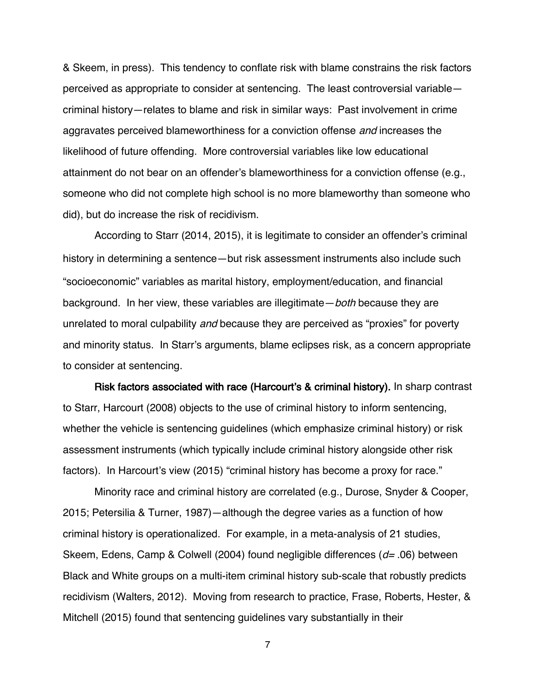& Skeem, in press). This tendency to conflate risk with blame constrains the risk factors perceived as appropriate to consider at sentencing. The least controversial variable criminal history—relates to blame and risk in similar ways: Past involvement in crime aggravates perceived blameworthiness for a conviction offense and increases the likelihood of future offending. More controversial variables like low educational attainment do not bear on an offender's blameworthiness for a conviction offense (e.g., someone who did not complete high school is no more blameworthy than someone who did), but do increase the risk of recidivism.

According to Starr (2014, 2015), it is legitimate to consider an offender's criminal history in determining a sentence—but risk assessment instruments also include such "socioeconomic" variables as marital history, employment/education, and financial background. In her view, these variables are illegitimate - both because they are unrelated to moral culpability and because they are perceived as "proxies" for poverty and minority status. In Starr's arguments, blame eclipses risk, as a concern appropriate to consider at sentencing.

Risk factors associated with race (Harcourt's & criminal history). In sharp contrast to Starr, Harcourt (2008) objects to the use of criminal history to inform sentencing, whether the vehicle is sentencing guidelines (which emphasize criminal history) or risk assessment instruments (which typically include criminal history alongside other risk factors). In Harcourt's view (2015) "criminal history has become a proxy for race."

Minority race and criminal history are correlated (e.g., Durose, Snyder & Cooper, 2015; Petersilia & Turner, 1987)—although the degree varies as a function of how criminal history is operationalized. For example, in a meta-analysis of 21 studies, Skeem, Edens, Camp & Colwell (2004) found negligible differences ( $d=0.06$ ) between Black and White groups on a multi-item criminal history sub-scale that robustly predicts recidivism (Walters, 2012). Moving from research to practice, Frase, Roberts, Hester, & Mitchell (2015) found that sentencing guidelines vary substantially in their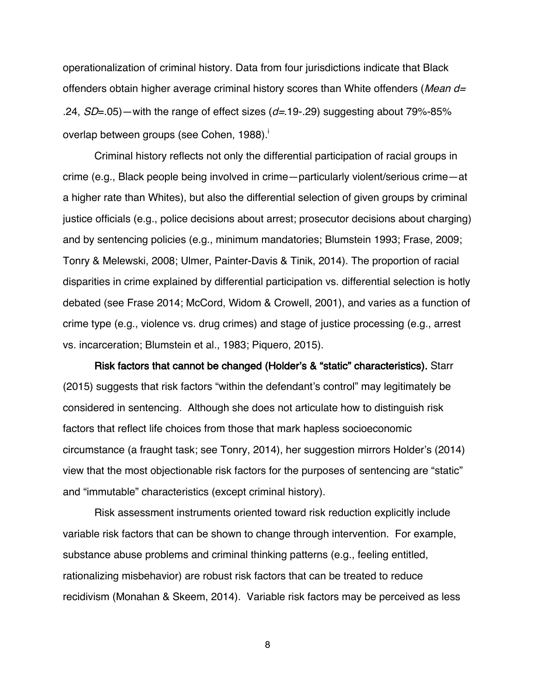operationalization of criminal history. Data from four jurisdictions indicate that Black offenders obtain higher average criminal history scores than White offenders (*Mean d=* .24,  $SD = .05$ ) — with the range of effect sizes ( $d = .19 - .29$ ) suggesting about 79%-85% overlap between groups (see Cohen, 1988).

Criminal history reflects not only the differential participation of racial groups in crime (e.g., Black people being involved in crime—particularly violent/serious crime—at a higher rate than Whites), but also the differential selection of given groups by criminal justice officials (e.g., police decisions about arrest; prosecutor decisions about charging) and by sentencing policies (e.g., minimum mandatories; Blumstein 1993; Frase, 2009; Tonry & Melewski, 2008; Ulmer, Painter-Davis & Tinik, 2014). The proportion of racial disparities in crime explained by differential participation vs. differential selection is hotly debated (see Frase 2014; McCord, Widom & Crowell, 2001), and varies as a function of crime type (e.g., violence vs. drug crimes) and stage of justice processing (e.g., arrest vs. incarceration; Blumstein et al., 1983; Piquero, 2015).

Risk factors that cannot be changed (Holder's & "static" characteristics). Starr (2015) suggests that risk factors "within the defendant's control" may legitimately be considered in sentencing. Although she does not articulate how to distinguish risk factors that reflect life choices from those that mark hapless socioeconomic circumstance (a fraught task; see Tonry, 2014), her suggestion mirrors Holder's (2014) view that the most objectionable risk factors for the purposes of sentencing are "static" and "immutable" characteristics (except criminal history).

Risk assessment instruments oriented toward risk reduction explicitly include variable risk factors that can be shown to change through intervention. For example, substance abuse problems and criminal thinking patterns (e.g., feeling entitled, rationalizing misbehavior) are robust risk factors that can be treated to reduce recidivism (Monahan & Skeem, 2014). Variable risk factors may be perceived as less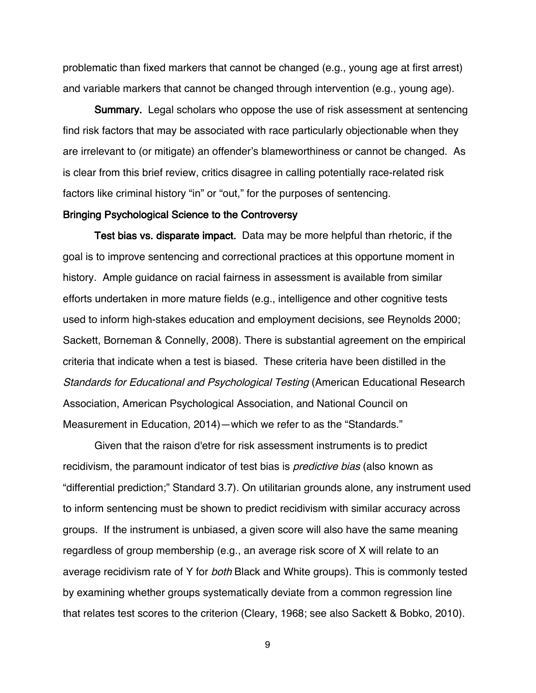problematic than fixed markers that cannot be changed (e.g., young age at first arrest) and variable markers that cannot be changed through intervention (e.g., young age).

Summary. Legal scholars who oppose the use of risk assessment at sentencing find risk factors that may be associated with race particularly objectionable when they are irrelevant to (or mitigate) an offender's blameworthiness or cannot be changed. As is clear from this brief review, critics disagree in calling potentially race-related risk factors like criminal history "in" or "out," for the purposes of sentencing.

#### Bringing Psychological Science to the Controversy

Test bias vs. disparate impact. Data may be more helpful than rhetoric, if the goal is to improve sentencing and correctional practices at this opportune moment in history. Ample guidance on racial fairness in assessment is available from similar efforts undertaken in more mature fields (e.g., intelligence and other cognitive tests used to inform high-stakes education and employment decisions, see Reynolds 2000; Sackett, Borneman & Connelly, 2008). There is substantial agreement on the empirical criteria that indicate when a test is biased. These criteria have been distilled in the Standards for Educational and Psychological Testing (American Educational Research Association, American Psychological Association, and National Council on Measurement in Education, 2014)—which we refer to as the "Standards."

Given that the raison d'etre for risk assessment instruments is to predict recidivism, the paramount indicator of test bias is *predictive bias* (also known as "differential prediction;" Standard 3.7). On utilitarian grounds alone, any instrument used to inform sentencing must be shown to predict recidivism with similar accuracy across groups. If the instrument is unbiased, a given score will also have the same meaning regardless of group membership (e.g., an average risk score of X will relate to an average recidivism rate of Y for *both* Black and White groups). This is commonly tested by examining whether groups systematically deviate from a common regression line that relates test scores to the criterion (Cleary, 1968; see also Sackett & Bobko, 2010).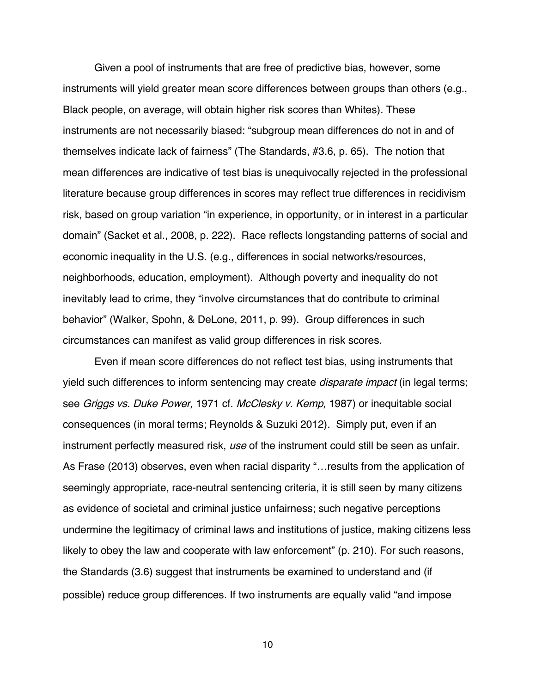Given a pool of instruments that are free of predictive bias, however, some instruments will yield greater mean score differences between groups than others (e.g., Black people, on average, will obtain higher risk scores than Whites). These instruments are not necessarily biased: "subgroup mean differences do not in and of themselves indicate lack of fairness" (The Standards, #3.6, p. 65). The notion that mean differences are indicative of test bias is unequivocally rejected in the professional literature because group differences in scores may reflect true differences in recidivism risk, based on group variation "in experience, in opportunity, or in interest in a particular domain" (Sacket et al., 2008, p. 222). Race reflects longstanding patterns of social and economic inequality in the U.S. (e.g., differences in social networks/resources, neighborhoods, education, employment). Although poverty and inequality do not inevitably lead to crime, they "involve circumstances that do contribute to criminal behavior" (Walker, Spohn, & DeLone, 2011, p. 99). Group differences in such circumstances can manifest as valid group differences in risk scores.

Even if mean score differences do not reflect test bias, using instruments that yield such differences to inform sentencing may create *disparate impact* (in legal terms; see Griggs vs. Duke Power, 1971 cf. McClesky v. Kemp, 1987) or inequitable social consequences (in moral terms; Reynolds & Suzuki 2012). Simply put, even if an instrument perfectly measured risk, use of the instrument could still be seen as unfair. As Frase (2013) observes, even when racial disparity "…results from the application of seemingly appropriate, race-neutral sentencing criteria, it is still seen by many citizens as evidence of societal and criminal justice unfairness; such negative perceptions undermine the legitimacy of criminal laws and institutions of justice, making citizens less likely to obey the law and cooperate with law enforcement" (p. 210). For such reasons, the Standards (3.6) suggest that instruments be examined to understand and (if possible) reduce group differences. If two instruments are equally valid "and impose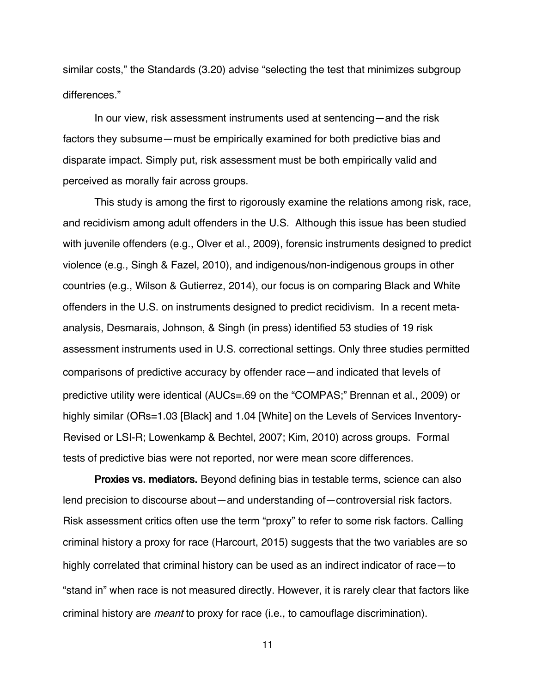similar costs," the Standards (3.20) advise "selecting the test that minimizes subgroup differences."

In our view, risk assessment instruments used at sentencing—and the risk factors they subsume—must be empirically examined for both predictive bias and disparate impact. Simply put, risk assessment must be both empirically valid and perceived as morally fair across groups.

This study is among the first to rigorously examine the relations among risk, race, and recidivism among adult offenders in the U.S. Although this issue has been studied with juvenile offenders (e.g., Olver et al., 2009), forensic instruments designed to predict violence (e.g., Singh & Fazel, 2010), and indigenous/non-indigenous groups in other countries (e.g., Wilson & Gutierrez, 2014), our focus is on comparing Black and White offenders in the U.S. on instruments designed to predict recidivism. In a recent metaanalysis, Desmarais, Johnson, & Singh (in press) identified 53 studies of 19 risk assessment instruments used in U.S. correctional settings. Only three studies permitted comparisons of predictive accuracy by offender race—and indicated that levels of predictive utility were identical (AUCs=.69 on the "COMPAS;" Brennan et al., 2009) or highly similar (ORs=1.03 [Black] and 1.04 [White] on the Levels of Services Inventory-Revised or LSI-R; Lowenkamp & Bechtel, 2007; Kim, 2010) across groups. Formal tests of predictive bias were not reported, nor were mean score differences.

Proxies vs. mediators. Beyond defining bias in testable terms, science can also lend precision to discourse about—and understanding of—controversial risk factors. Risk assessment critics often use the term "proxy" to refer to some risk factors. Calling criminal history a proxy for race (Harcourt, 2015) suggests that the two variables are so highly correlated that criminal history can be used as an indirect indicator of race—to "stand in" when race is not measured directly. However, it is rarely clear that factors like criminal history are meant to proxy for race (i.e., to camouflage discrimination).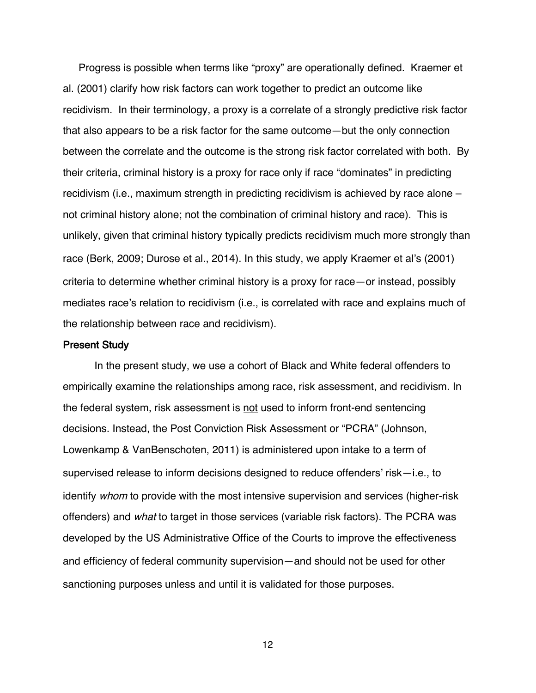Progress is possible when terms like "proxy" are operationally defined. Kraemer et al. (2001) clarify how risk factors can work together to predict an outcome like recidivism. In their terminology, a proxy is a correlate of a strongly predictive risk factor that also appears to be a risk factor for the same outcome—but the only connection between the correlate and the outcome is the strong risk factor correlated with both. By their criteria, criminal history is a proxy for race only if race "dominates" in predicting recidivism (i.e., maximum strength in predicting recidivism is achieved by race alone – not criminal history alone; not the combination of criminal history and race). This is unlikely, given that criminal history typically predicts recidivism much more strongly than race (Berk, 2009; Durose et al., 2014). In this study, we apply Kraemer et al's (2001) criteria to determine whether criminal history is a proxy for race—or instead, possibly mediates race's relation to recidivism (i.e., is correlated with race and explains much of the relationship between race and recidivism).

#### Present Study

In the present study, we use a cohort of Black and White federal offenders to empirically examine the relationships among race, risk assessment, and recidivism. In the federal system, risk assessment is not used to inform front-end sentencing decisions. Instead, the Post Conviction Risk Assessment or "PCRA" (Johnson, Lowenkamp & VanBenschoten, 2011) is administered upon intake to a term of supervised release to inform decisions designed to reduce offenders' risk—i.e., to identify whom to provide with the most intensive supervision and services (higher-risk offenders) and what to target in those services (variable risk factors). The PCRA was developed by the US Administrative Office of the Courts to improve the effectiveness and efficiency of federal community supervision—and should not be used for other sanctioning purposes unless and until it is validated for those purposes.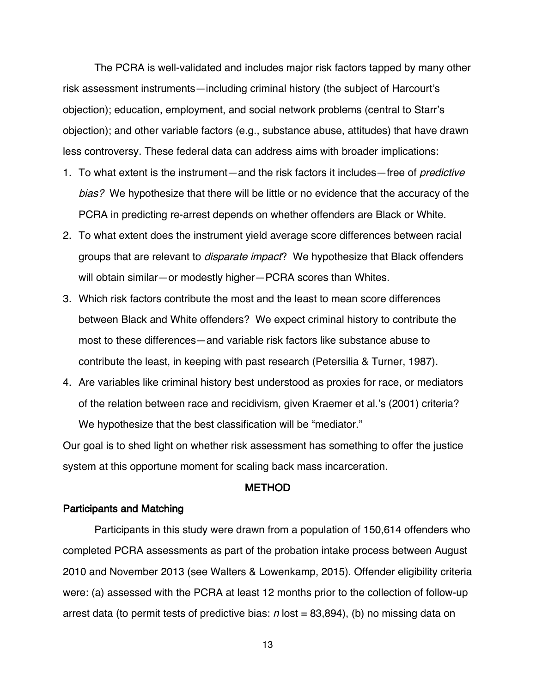The PCRA is well-validated and includes major risk factors tapped by many other risk assessment instruments—including criminal history (the subject of Harcourt's objection); education, employment, and social network problems (central to Starr's objection); and other variable factors (e.g., substance abuse, attitudes) that have drawn less controversy. These federal data can address aims with broader implications:

- 1. To what extent is the instrument—and the risk factors it includes—free of *predictive* bias? We hypothesize that there will be little or no evidence that the accuracy of the PCRA in predicting re-arrest depends on whether offenders are Black or White.
- 2. To what extent does the instrument yield average score differences between racial groups that are relevant to *disparate impact*? We hypothesize that Black offenders will obtain similar—or modestly higher—PCRA scores than Whites.
- 3. Which risk factors contribute the most and the least to mean score differences between Black and White offenders? We expect criminal history to contribute the most to these differences—and variable risk factors like substance abuse to contribute the least, in keeping with past research (Petersilia & Turner, 1987).
- 4. Are variables like criminal history best understood as proxies for race, or mediators of the relation between race and recidivism, given Kraemer et al.'s (2001) criteria? We hypothesize that the best classification will be "mediator."

Our goal is to shed light on whether risk assessment has something to offer the justice system at this opportune moment for scaling back mass incarceration.

# METHOD

# Participants and Matching

Participants in this study were drawn from a population of 150,614 offenders who completed PCRA assessments as part of the probation intake process between August 2010 and November 2013 (see Walters & Lowenkamp, 2015). Offender eligibility criteria were: (a) assessed with the PCRA at least 12 months prior to the collection of follow-up arrest data (to permit tests of predictive bias:  $n$  lost = 83,894), (b) no missing data on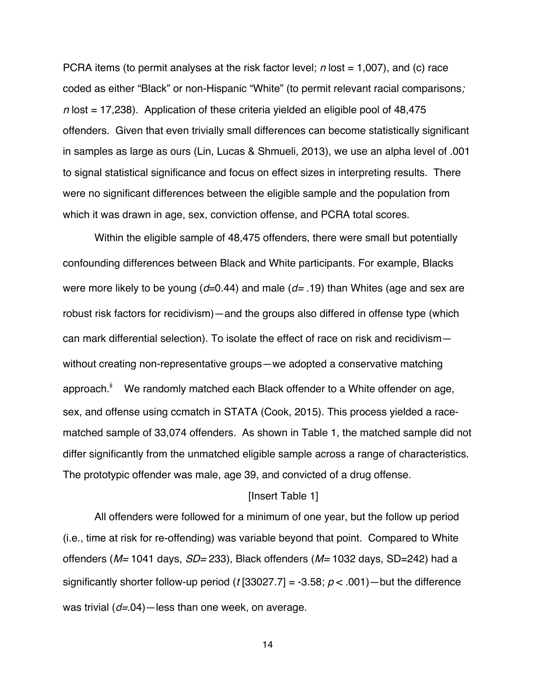PCRA items (to permit analyses at the risk factor level;  $n$  lost = 1,007), and (c) race coded as either "Black" or non-Hispanic "White" (to permit relevant racial comparisons;  $n$  lost = 17,238). Application of these criteria yielded an eligible pool of 48,475 offenders. Given that even trivially small differences can become statistically significant in samples as large as ours (Lin, Lucas & Shmueli, 2013), we use an alpha level of .001 to signal statistical significance and focus on effect sizes in interpreting results. There were no significant differences between the eligible sample and the population from which it was drawn in age, sex, conviction offense, and PCRA total scores.

Within the eligible sample of 48,475 offenders, there were small but potentially confounding differences between Black and White participants. For example, Blacks were more likely to be young (d=0.44) and male (d=.19) than Whites (age and sex are robust risk factors for recidivism)—and the groups also differed in offense type (which can mark differential selection). To isolate the effect of race on risk and recidivism without creating non-representative groups—we adopted a conservative matching approach.<sup>ii</sup> We randomly matched each Black offender to a White offender on age, sex, and offense using ccmatch in STATA (Cook, 2015). This process yielded a racematched sample of 33,074 offenders. As shown in Table 1, the matched sample did not differ significantly from the unmatched eligible sample across a range of characteristics. The prototypic offender was male, age 39, and convicted of a drug offense.

#### [Insert Table 1]

All offenders were followed for a minimum of one year, but the follow up period (i.e., time at risk for re-offending) was variable beyond that point. Compared to White offenders ( $M$ = 1041 days,  $SD$ = 233), Black offenders ( $M$ = 1032 days, SD=242) had a significantly shorter follow-up period (t [33027.7] = -3.58;  $p < .001$ ) — but the difference was trivial  $(d=04)$ —less than one week, on average.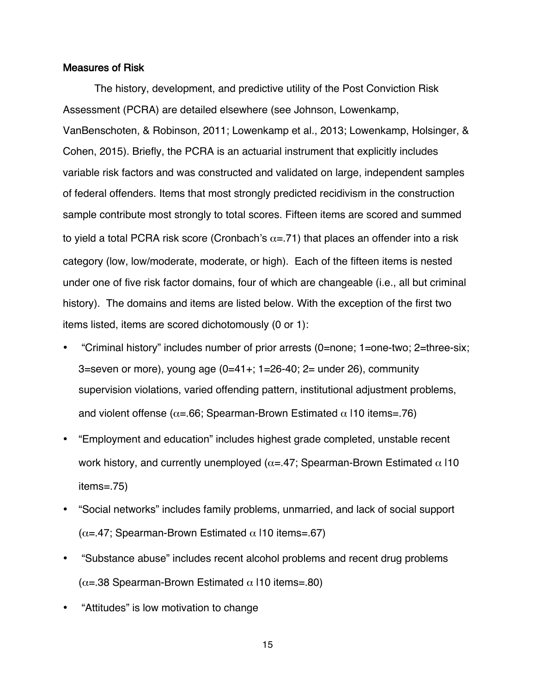#### Measures of Risk

The history, development, and predictive utility of the Post Conviction Risk Assessment (PCRA) are detailed elsewhere (see Johnson, Lowenkamp, VanBenschoten, & Robinson, 2011; Lowenkamp et al., 2013; Lowenkamp, Holsinger, & Cohen, 2015). Briefly, the PCRA is an actuarial instrument that explicitly includes variable risk factors and was constructed and validated on large, independent samples of federal offenders. Items that most strongly predicted recidivism in the construction sample contribute most strongly to total scores. Fifteen items are scored and summed to yield a total PCRA risk score (Cronbach's  $\alpha$ =.71) that places an offender into a risk category (low, low/moderate, moderate, or high). Each of the fifteen items is nested under one of five risk factor domains, four of which are changeable (i.e., all but criminal history). The domains and items are listed below. With the exception of the first two items listed, items are scored dichotomously (0 or 1):

- "Criminal history" includes number of prior arrests (0=none; 1=one-two; 2=three-six; 3=seven or more), young age (0=41+; 1=26-40; 2= under 26), community supervision violations, varied offending pattern, institutional adjustment problems, and violent offense ( $\alpha$ =.66; Spearman-Brown Estimated  $\alpha$  110 items=.76)
- "Employment and education" includes highest grade completed, unstable recent work history, and currently unemployed ( $\alpha$ =.47; Spearman-Brown Estimated  $\alpha$  |10 items=.75)
- "Social networks" includes family problems, unmarried, and lack of social support  $(\alpha = 47;$  Spearman-Brown Estimated  $\alpha$  110 items=.67)
- "Substance abuse" includes recent alcohol problems and recent drug problems  $(\alpha = 38$  Spearman-Brown Estimated  $\alpha$  110 items=.80)
- "Attitudes" is low motivation to change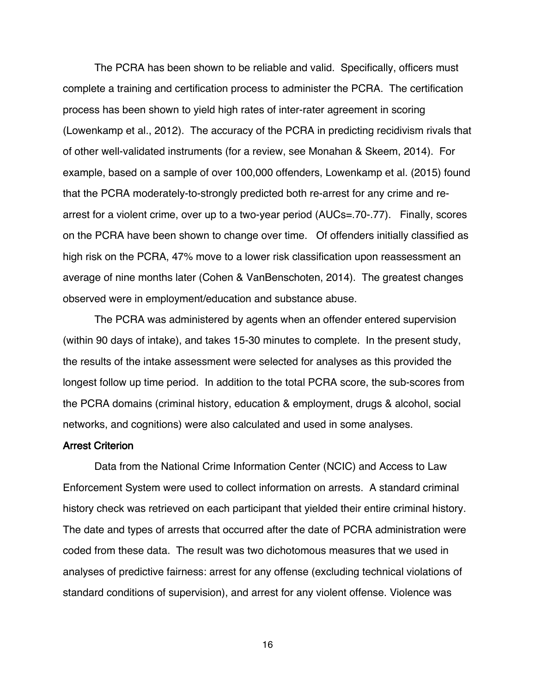The PCRA has been shown to be reliable and valid. Specifically, officers must complete a training and certification process to administer the PCRA. The certification process has been shown to yield high rates of inter-rater agreement in scoring (Lowenkamp et al., 2012). The accuracy of the PCRA in predicting recidivism rivals that of other well-validated instruments (for a review, see Monahan & Skeem, 2014). For example, based on a sample of over 100,000 offenders, Lowenkamp et al. (2015) found that the PCRA moderately-to-strongly predicted both re-arrest for any crime and rearrest for a violent crime, over up to a two-year period (AUCs=.70-.77). Finally, scores on the PCRA have been shown to change over time. Of offenders initially classified as high risk on the PCRA, 47% move to a lower risk classification upon reassessment an average of nine months later (Cohen & VanBenschoten, 2014). The greatest changes observed were in employment/education and substance abuse.

The PCRA was administered by agents when an offender entered supervision (within 90 days of intake), and takes 15-30 minutes to complete. In the present study, the results of the intake assessment were selected for analyses as this provided the longest follow up time period. In addition to the total PCRA score, the sub-scores from the PCRA domains (criminal history, education & employment, drugs & alcohol, social networks, and cognitions) were also calculated and used in some analyses.

# Arrest Criterion

Data from the National Crime Information Center (NCIC) and Access to Law Enforcement System were used to collect information on arrests. A standard criminal history check was retrieved on each participant that yielded their entire criminal history. The date and types of arrests that occurred after the date of PCRA administration were coded from these data. The result was two dichotomous measures that we used in analyses of predictive fairness: arrest for any offense (excluding technical violations of standard conditions of supervision), and arrest for any violent offense. Violence was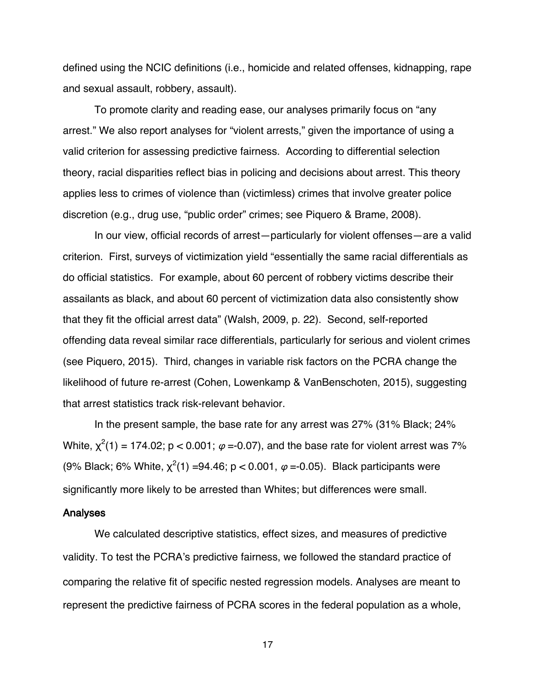defined using the NCIC definitions (i.e., homicide and related offenses, kidnapping, rape and sexual assault, robbery, assault).

To promote clarity and reading ease, our analyses primarily focus on "any arrest." We also report analyses for "violent arrests," given the importance of using a valid criterion for assessing predictive fairness. According to differential selection theory, racial disparities reflect bias in policing and decisions about arrest. This theory applies less to crimes of violence than (victimless) crimes that involve greater police discretion (e.g., drug use, "public order" crimes; see Piquero & Brame, 2008).

In our view, official records of arrest—particularly for violent offenses—are a valid criterion. First, surveys of victimization yield "essentially the same racial differentials as do official statistics. For example, about 60 percent of robbery victims describe their assailants as black, and about 60 percent of victimization data also consistently show that they fit the official arrest data" (Walsh, 2009, p. 22). Second, self-reported offending data reveal similar race differentials, particularly for serious and violent crimes (see Piquero, 2015). Third, changes in variable risk factors on the PCRA change the likelihood of future re-arrest (Cohen, Lowenkamp & VanBenschoten, 2015), suggesting that arrest statistics track risk-relevant behavior.

In the present sample, the base rate for any arrest was 27% (31% Black; 24% White,  $\chi^2(1) = 174.02$ ; p < 0.001;  $\varphi$  =-0.07), and the base rate for violent arrest was 7% (9% Black; 6% White,  $\chi^2(1)$  =94.46; p < 0.001,  $\varphi$  =-0.05). Black participants were significantly more likely to be arrested than Whites; but differences were small.

#### Analyses

We calculated descriptive statistics, effect sizes, and measures of predictive validity. To test the PCRA's predictive fairness, we followed the standard practice of comparing the relative fit of specific nested regression models. Analyses are meant to represent the predictive fairness of PCRA scores in the federal population as a whole,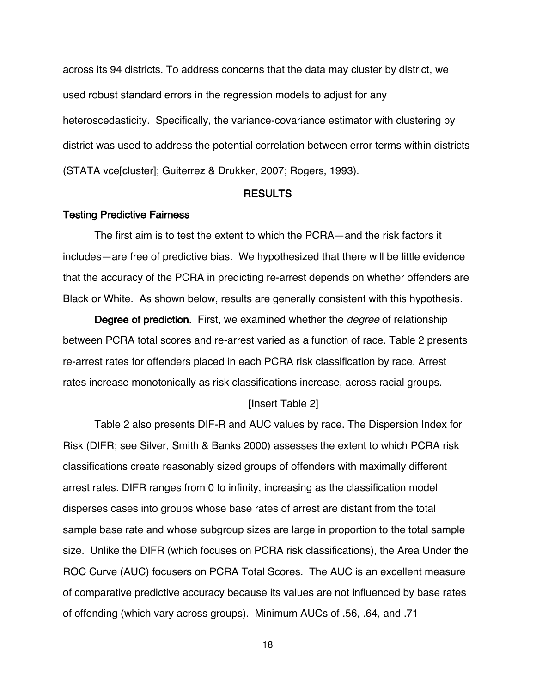across its 94 districts. To address concerns that the data may cluster by district, we used robust standard errors in the regression models to adjust for any heteroscedasticity. Specifically, the variance-covariance estimator with clustering by district was used to address the potential correlation between error terms within districts (STATA vce[cluster]; Guiterrez & Drukker, 2007; Rogers, 1993).

## RESULTS

#### Testing Predictive Fairness

The first aim is to test the extent to which the PCRA—and the risk factors it includes—are free of predictive bias. We hypothesized that there will be little evidence that the accuracy of the PCRA in predicting re-arrest depends on whether offenders are Black or White. As shown below, results are generally consistent with this hypothesis.

Degree of prediction. First, we examined whether the *degree* of relationship between PCRA total scores and re-arrest varied as a function of race. Table 2 presents re-arrest rates for offenders placed in each PCRA risk classification by race. Arrest rates increase monotonically as risk classifications increase, across racial groups.

#### [Insert Table 2]

Table 2 also presents DIF-R and AUC values by race. The Dispersion Index for Risk (DIFR; see Silver, Smith & Banks 2000) assesses the extent to which PCRA risk classifications create reasonably sized groups of offenders with maximally different arrest rates. DIFR ranges from 0 to infinity, increasing as the classification model disperses cases into groups whose base rates of arrest are distant from the total sample base rate and whose subgroup sizes are large in proportion to the total sample size. Unlike the DIFR (which focuses on PCRA risk classifications), the Area Under the ROC Curve (AUC) focusers on PCRA Total Scores. The AUC is an excellent measure of comparative predictive accuracy because its values are not influenced by base rates of offending (which vary across groups). Minimum AUCs of .56, .64, and .71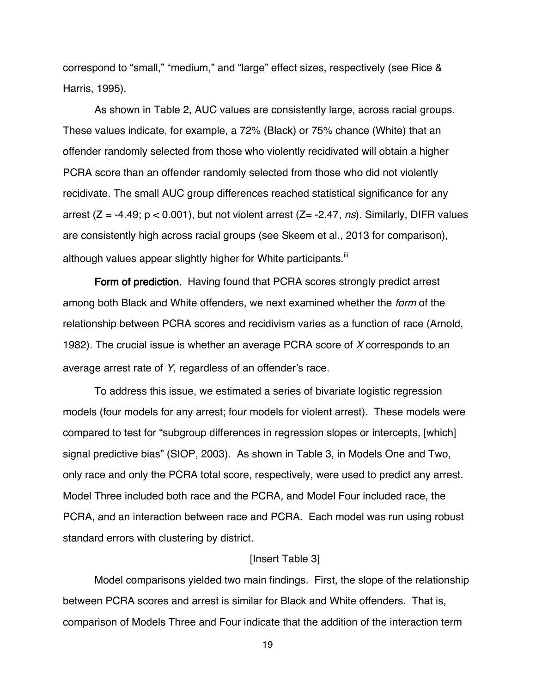correspond to "small," "medium," and "large" effect sizes, respectively (see Rice & Harris, 1995).

As shown in Table 2, AUC values are consistently large, across racial groups. These values indicate, for example, a 72% (Black) or 75% chance (White) that an offender randomly selected from those who violently recidivated will obtain a higher PCRA score than an offender randomly selected from those who did not violently recidivate. The small AUC group differences reached statistical significance for any arrest ( $Z = -4.49$ ;  $p < 0.001$ ), but not violent arrest ( $Z = -2.47$ , *ns*). Similarly, DIFR values are consistently high across racial groups (see Skeem et al., 2013 for comparison), although values appear slightly higher for White participants.<sup>III</sup>

Form of prediction. Having found that PCRA scores strongly predict arrest among both Black and White offenders, we next examined whether the form of the relationship between PCRA scores and recidivism varies as a function of race (Arnold, 1982). The crucial issue is whether an average PCRA score of X corresponds to an average arrest rate of Y, regardless of an offender's race.

To address this issue, we estimated a series of bivariate logistic regression models (four models for any arrest; four models for violent arrest). These models were compared to test for "subgroup differences in regression slopes or intercepts, [which] signal predictive bias" (SIOP, 2003). As shown in Table 3, in Models One and Two, only race and only the PCRA total score, respectively, were used to predict any arrest. Model Three included both race and the PCRA, and Model Four included race, the PCRA, and an interaction between race and PCRA. Each model was run using robust standard errors with clustering by district.

# [Insert Table 3]

Model comparisons yielded two main findings. First, the slope of the relationship between PCRA scores and arrest is similar for Black and White offenders. That is, comparison of Models Three and Four indicate that the addition of the interaction term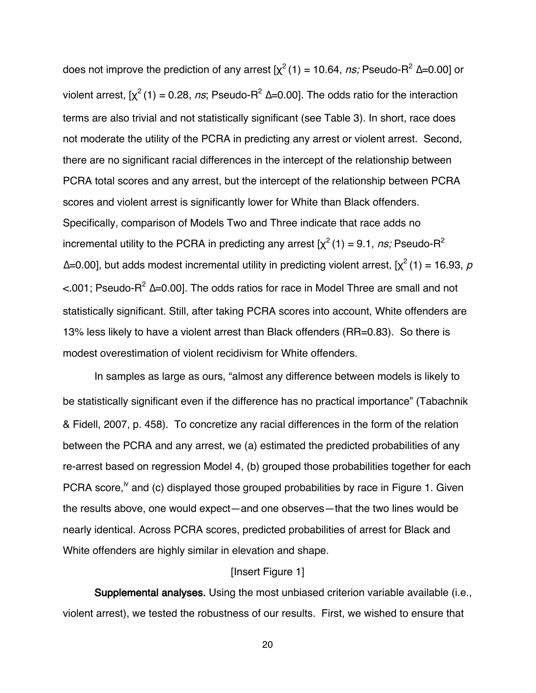does not improve the prediction of any arrest  $[\chi^2(1) = 10.64, ns]$ ; Pseudo-R<sup>2</sup> ∆=0.00] or violent arrest,  $[\chi^2(1) = 0.28$ , ns; Pseudo-R<sup>2</sup> ∆=0.00]. The odds ratio for the interaction terms are also trivial and not statistically significant (see Table 3). In short, race does not moderate the utility of the PCRA in predicting any arrest or violent arrest. Second, there are no significant racial differences in the intercept of the relationship between PCRA total scores and any arrest, but the intercept of the relationship between PCRA scores and violent arrest is significantly lower for White than Black offenders. Specifically, comparison of Models Two and Three indicate that race adds no incremental utility to the PCRA in predicting any arrest  $[\chi^2(1) = 9.1, ns]$ ; Pseudo-R<sup>2</sup>  $\Delta$ =0.00], but adds modest incremental utility in predicting violent arrest,  $[\chi^2(1) = 16.93, p$ <.001; Pseudo-R2 ∆=0.00]. The odds ratios for race in Model Three are small and not statistically significant. Still, after taking PCRA scores into account, White offenders are 13% less likely to have a violent arrest than Black offenders (RR=0.83). So there is modest overestimation of violent recidivism for White offenders.

In samples as large as ours, "almost any difference between models is likely to be statistically significant even if the difference has no practical importance" (Tabachnik & Fidell, 2007, p. 458). To concretize any racial differences in the form of the relation between the PCRA and any arrest, we (a) estimated the predicted probabilities of any re-arrest based on regression Model 4, (b) grouped those probabilities together for each PCRA score,<sup>iv</sup> and (c) displayed those grouped probabilities by race in Figure 1. Given the results above, one would expect—and one observes—that the two lines would be nearly identical. Across PCRA scores, predicted probabilities of arrest for Black and White offenders are highly similar in elevation and shape.

## [Insert Figure 1]

Supplemental analyses. Using the most unbiased criterion variable available (i.e., violent arrest), we tested the robustness of our results. First, we wished to ensure that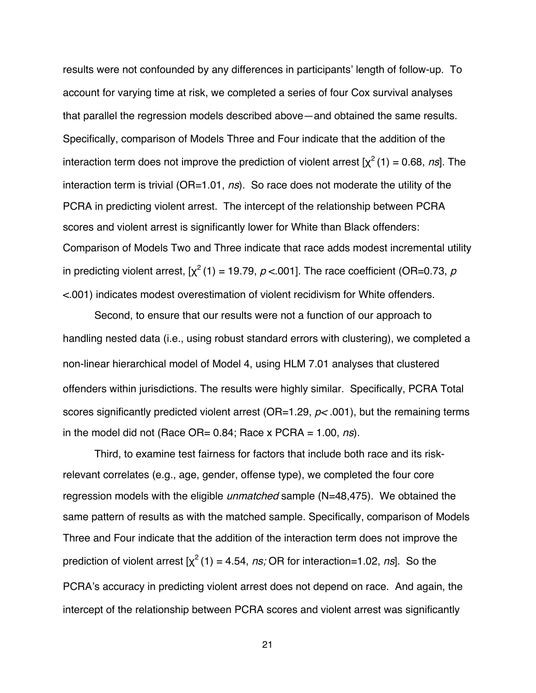results were not confounded by any differences in participants' length of follow-up. To account for varying time at risk, we completed a series of four Cox survival analyses that parallel the regression models described above—and obtained the same results. Specifically, comparison of Models Three and Four indicate that the addition of the interaction term does not improve the prediction of violent arrest  $[\chi^2(1) = 0.68, ns]$ . The interaction term is trivial ( $OR=1.01$ ,  $ns$ ). So race does not moderate the utility of the PCRA in predicting violent arrest. The intercept of the relationship between PCRA scores and violent arrest is significantly lower for White than Black offenders: Comparison of Models Two and Three indicate that race adds modest incremental utility in predicting violent arrest,  $[\chi^2(1) = 19.79, p < 001]$ . The race coefficient (OR=0.73, p <.001) indicates modest overestimation of violent recidivism for White offenders.

Second, to ensure that our results were not a function of our approach to handling nested data (i.e., using robust standard errors with clustering), we completed a non-linear hierarchical model of Model 4, using HLM 7.01 analyses that clustered offenders within jurisdictions. The results were highly similar. Specifically, PCRA Total scores significantly predicted violent arrest ( $OR=1.29$ ,  $p < .001$ ), but the remaining terms in the model did not (Race OR=  $0.84$ ; Race x PCRA = 1.00, ns).

Third, to examine test fairness for factors that include both race and its riskrelevant correlates (e.g., age, gender, offense type), we completed the four core regression models with the eligible *unmatched* sample (N=48,475). We obtained the same pattern of results as with the matched sample. Specifically, comparison of Models Three and Four indicate that the addition of the interaction term does not improve the prediction of violent arrest  $[x^2(1) = 4.54, ns$ ; OR for interaction=1.02, ns]. So the PCRA's accuracy in predicting violent arrest does not depend on race. And again, the intercept of the relationship between PCRA scores and violent arrest was significantly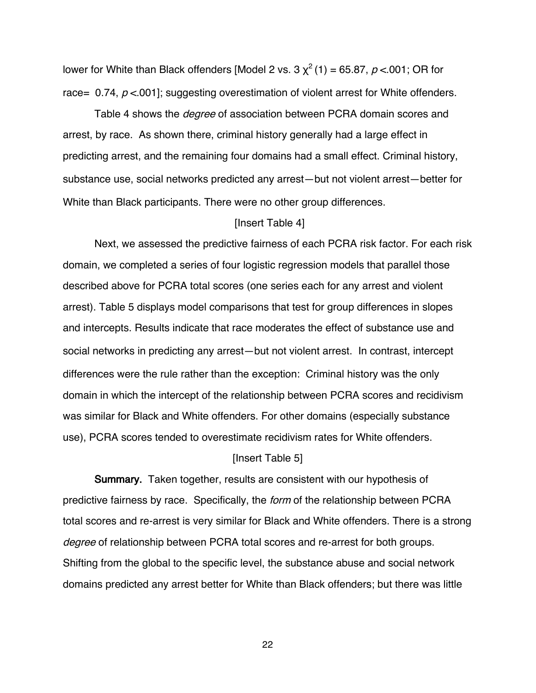lower for White than Black offenders [Model 2 vs.  $3 \chi^2$  (1) = 65.87, p < 001; OR for race= 0.74,  $p < 001$ ; suggesting overestimation of violent arrest for White offenders.

Table 4 shows the *degree* of association between PCRA domain scores and arrest, by race. As shown there, criminal history generally had a large effect in predicting arrest, and the remaining four domains had a small effect. Criminal history, substance use, social networks predicted any arrest—but not violent arrest—better for White than Black participants. There were no other group differences.

## [Insert Table 4]

Next, we assessed the predictive fairness of each PCRA risk factor. For each risk domain, we completed a series of four logistic regression models that parallel those described above for PCRA total scores (one series each for any arrest and violent arrest). Table 5 displays model comparisons that test for group differences in slopes and intercepts. Results indicate that race moderates the effect of substance use and social networks in predicting any arrest—but not violent arrest. In contrast, intercept differences were the rule rather than the exception: Criminal history was the only domain in which the intercept of the relationship between PCRA scores and recidivism was similar for Black and White offenders. For other domains (especially substance use), PCRA scores tended to overestimate recidivism rates for White offenders.

# [Insert Table 5]

Summary. Taken together, results are consistent with our hypothesis of predictive fairness by race. Specifically, the form of the relationship between PCRA total scores and re-arrest is very similar for Black and White offenders. There is a strong degree of relationship between PCRA total scores and re-arrest for both groups. Shifting from the global to the specific level, the substance abuse and social network domains predicted any arrest better for White than Black offenders; but there was little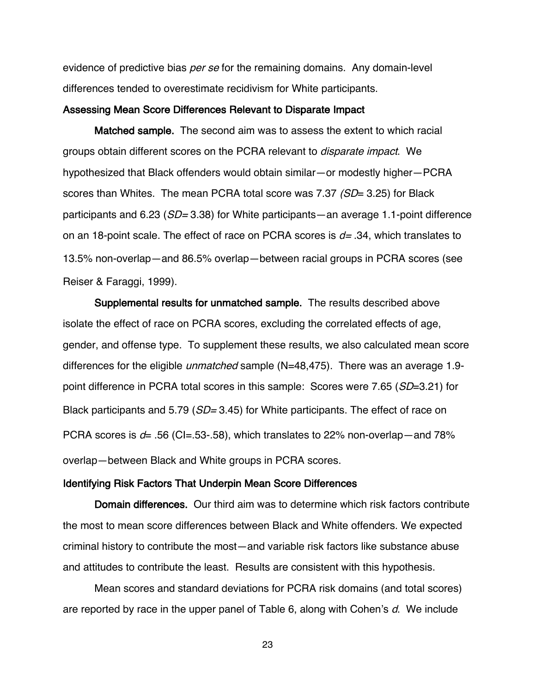evidence of predictive bias *per se* for the remaining domains. Any domain-level differences tended to overestimate recidivism for White participants.

## Assessing Mean Score Differences Relevant to Disparate Impact

Matched sample. The second aim was to assess the extent to which racial groups obtain different scores on the PCRA relevant to disparate impact. We hypothesized that Black offenders would obtain similar—or modestly higher—PCRA scores than Whites. The mean PCRA total score was 7.37 (SD= 3.25) for Black participants and 6.23 ( $SD = 3.38$ ) for White participants—an average 1.1-point difference on an 18-point scale. The effect of race on PCRA scores is  $d= .34$ , which translates to 13.5% non-overlap—and 86.5% overlap—between racial groups in PCRA scores (see Reiser & Faraggi, 1999).

Supplemental results for unmatched sample. The results described above isolate the effect of race on PCRA scores, excluding the correlated effects of age, gender, and offense type. To supplement these results, we also calculated mean score differences for the eligible *unmatched* sample (N=48,475). There was an average 1.9point difference in PCRA total scores in this sample: Scores were 7.65 (SD=3.21) for Black participants and 5.79 (*SD*= 3.45) for White participants. The effect of race on PCRA scores is  $d=$  .56 (CI=.53-.58), which translates to 22% non-overlap—and 78% overlap—between Black and White groups in PCRA scores.

#### Identifying Risk Factors That Underpin Mean Score Differences

Domain differences. Our third aim was to determine which risk factors contribute the most to mean score differences between Black and White offenders. We expected criminal history to contribute the most—and variable risk factors like substance abuse and attitudes to contribute the least. Results are consistent with this hypothesis.

Mean scores and standard deviations for PCRA risk domains (and total scores) are reported by race in the upper panel of Table 6, along with Cohen's d. We include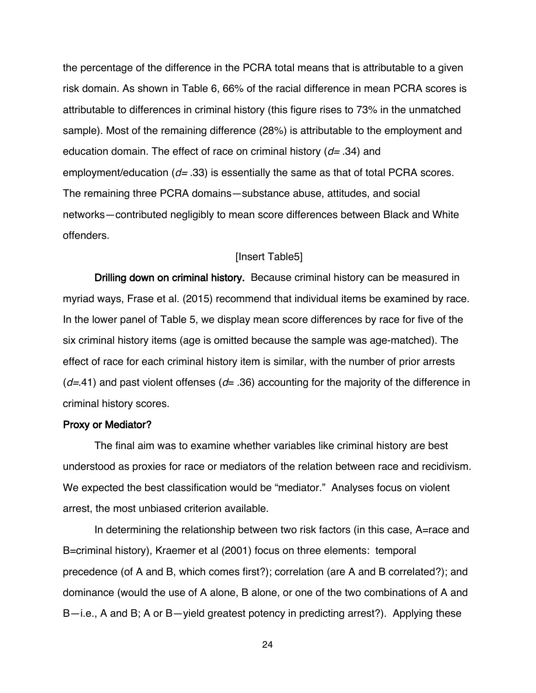the percentage of the difference in the PCRA total means that is attributable to a given risk domain. As shown in Table 6, 66% of the racial difference in mean PCRA scores is attributable to differences in criminal history (this figure rises to 73% in the unmatched sample). Most of the remaining difference (28%) is attributable to the employment and education domain. The effect of race on criminal history  $(d= .34)$  and employment/education ( $d=$  .33) is essentially the same as that of total PCRA scores. The remaining three PCRA domains—substance abuse, attitudes, and social networks—contributed negligibly to mean score differences between Black and White offenders.

# [Insert Table5]

Drilling down on criminal history. Because criminal history can be measured in myriad ways, Frase et al. (2015) recommend that individual items be examined by race. In the lower panel of Table 5, we display mean score differences by race for five of the six criminal history items (age is omitted because the sample was age-matched). The effect of race for each criminal history item is similar, with the number of prior arrests  $(d=41)$  and past violent offenses  $(d= .36)$  accounting for the majority of the difference in criminal history scores.

# Proxy or Mediator?

The final aim was to examine whether variables like criminal history are best understood as proxies for race or mediators of the relation between race and recidivism. We expected the best classification would be "mediator." Analyses focus on violent arrest, the most unbiased criterion available.

In determining the relationship between two risk factors (in this case, A=race and B=criminal history), Kraemer et al (2001) focus on three elements: temporal precedence (of A and B, which comes first?); correlation (are A and B correlated?); and dominance (would the use of A alone, B alone, or one of the two combinations of A and B—i.e., A and B; A or B—yield greatest potency in predicting arrest?). Applying these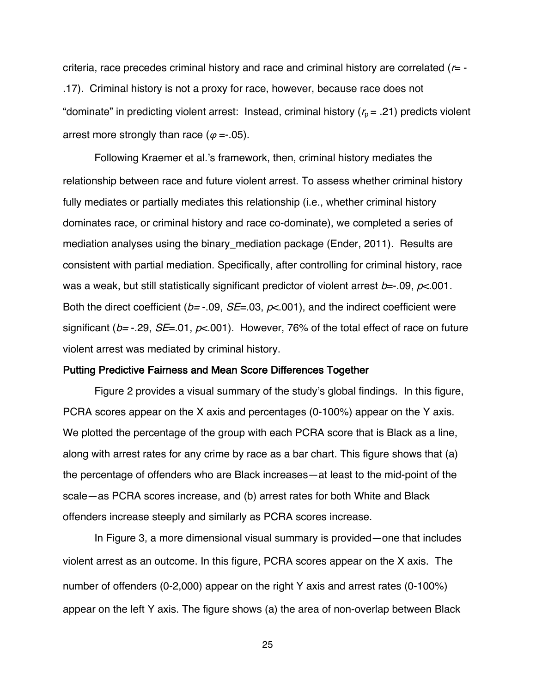criteria, race precedes criminal history and race and criminal history are correlated  $(r= -$ .17). Criminal history is not a proxy for race, however, because race does not "dominate" in predicting violent arrest: Instead, criminal history ( $r_p = .21$ ) predicts violent arrest more strongly than race ( $\varphi = -05$ ).

Following Kraemer et al.'s framework, then, criminal history mediates the relationship between race and future violent arrest. To assess whether criminal history fully mediates or partially mediates this relationship (i.e., whether criminal history dominates race, or criminal history and race co-dominate), we completed a series of mediation analyses using the binary\_mediation package (Ender, 2011). Results are consistent with partial mediation. Specifically, after controlling for criminal history, race was a weak, but still statistically significant predictor of violent arrest  $b = -09$ ,  $p < 001$ . Both the direct coefficient ( $b = -0.09$ ,  $SE = 0.03$ ,  $p < 0.001$ ), and the indirect coefficient were significant ( $b$ = -.29,  $SE$ =.01,  $p$ <.001). However, 76% of the total effect of race on future violent arrest was mediated by criminal history.

#### Putting Predictive Fairness and Mean Score Differences Together

Figure 2 provides a visual summary of the study's global findings. In this figure, PCRA scores appear on the X axis and percentages (0-100%) appear on the Y axis. We plotted the percentage of the group with each PCRA score that is Black as a line, along with arrest rates for any crime by race as a bar chart. This figure shows that (a) the percentage of offenders who are Black increases—at least to the mid-point of the scale—as PCRA scores increase, and (b) arrest rates for both White and Black offenders increase steeply and similarly as PCRA scores increase.

In Figure 3, a more dimensional visual summary is provided—one that includes violent arrest as an outcome. In this figure, PCRA scores appear on the X axis. The number of offenders (0-2,000) appear on the right Y axis and arrest rates (0-100%) appear on the left Y axis. The figure shows (a) the area of non-overlap between Black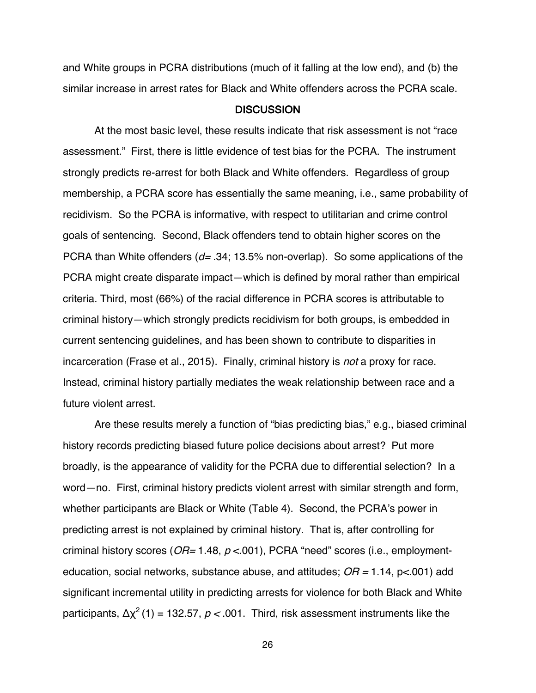and White groups in PCRA distributions (much of it falling at the low end), and (b) the similar increase in arrest rates for Black and White offenders across the PCRA scale.

#### **DISCUSSION**

At the most basic level, these results indicate that risk assessment is not "race assessment." First, there is little evidence of test bias for the PCRA. The instrument strongly predicts re-arrest for both Black and White offenders. Regardless of group membership, a PCRA score has essentially the same meaning, i.e., same probability of recidivism. So the PCRA is informative, with respect to utilitarian and crime control goals of sentencing. Second, Black offenders tend to obtain higher scores on the PCRA than White offenders ( $d = .34$ ; 13.5% non-overlap). So some applications of the PCRA might create disparate impact—which is defined by moral rather than empirical criteria. Third, most (66%) of the racial difference in PCRA scores is attributable to criminal history—which strongly predicts recidivism for both groups, is embedded in current sentencing guidelines, and has been shown to contribute to disparities in incarceration (Frase et al., 2015). Finally, criminal history is *not* a proxy for race. Instead, criminal history partially mediates the weak relationship between race and a future violent arrest.

Are these results merely a function of "bias predicting bias," e.g., biased criminal history records predicting biased future police decisions about arrest? Put more broadly, is the appearance of validity for the PCRA due to differential selection? In a word—no. First, criminal history predicts violent arrest with similar strength and form, whether participants are Black or White (Table 4). Second, the PCRA's power in predicting arrest is not explained by criminal history. That is, after controlling for criminal history scores ( $OR = 1.48$ ,  $p < 001$ ), PCRA "need" scores (i.e., employmenteducation, social networks, substance abuse, and attitudes;  $OR = 1.14$ ,  $p < .001$ ) add significant incremental utility in predicting arrests for violence for both Black and White participants,  $\Delta x^2$  (1) = 132.57,  $p < 0.001$ . Third, risk assessment instruments like the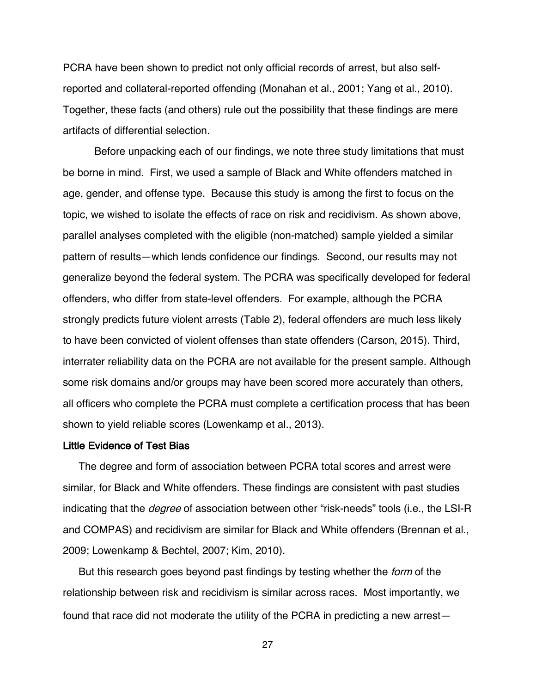PCRA have been shown to predict not only official records of arrest, but also selfreported and collateral-reported offending (Monahan et al., 2001; Yang et al., 2010). Together, these facts (and others) rule out the possibility that these findings are mere artifacts of differential selection.

Before unpacking each of our findings, we note three study limitations that must be borne in mind. First, we used a sample of Black and White offenders matched in age, gender, and offense type. Because this study is among the first to focus on the topic, we wished to isolate the effects of race on risk and recidivism. As shown above, parallel analyses completed with the eligible (non-matched) sample yielded a similar pattern of results—which lends confidence our findings. Second, our results may not generalize beyond the federal system. The PCRA was specifically developed for federal offenders, who differ from state-level offenders. For example, although the PCRA strongly predicts future violent arrests (Table 2), federal offenders are much less likely to have been convicted of violent offenses than state offenders (Carson, 2015). Third, interrater reliability data on the PCRA are not available for the present sample. Although some risk domains and/or groups may have been scored more accurately than others, all officers who complete the PCRA must complete a certification process that has been shown to yield reliable scores (Lowenkamp et al., 2013).

#### Little Evidence of Test Bias

The degree and form of association between PCRA total scores and arrest were similar, for Black and White offenders. These findings are consistent with past studies indicating that the *degree* of association between other "risk-needs" tools (i.e., the LSI-R and COMPAS) and recidivism are similar for Black and White offenders (Brennan et al., 2009; Lowenkamp & Bechtel, 2007; Kim, 2010).

But this research goes beyond past findings by testing whether the form of the relationship between risk and recidivism is similar across races. Most importantly, we found that race did not moderate the utility of the PCRA in predicting a new arrest—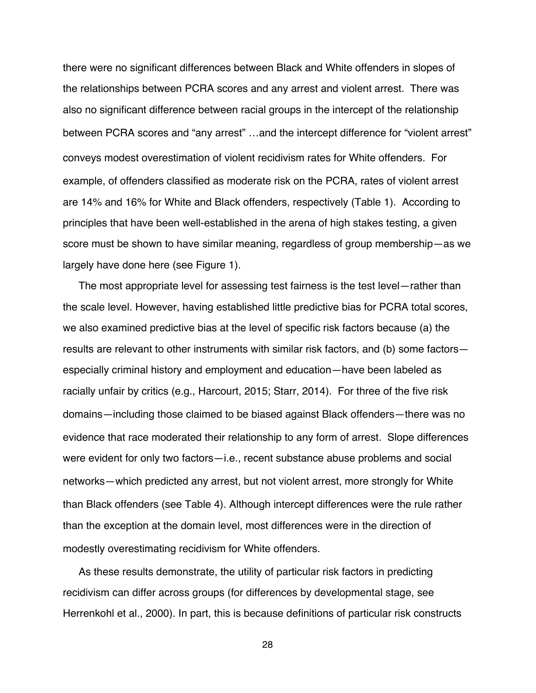there were no significant differences between Black and White offenders in slopes of the relationships between PCRA scores and any arrest and violent arrest. There was also no significant difference between racial groups in the intercept of the relationship between PCRA scores and "any arrest" …and the intercept difference for "violent arrest" conveys modest overestimation of violent recidivism rates for White offenders. For example, of offenders classified as moderate risk on the PCRA, rates of violent arrest are 14% and 16% for White and Black offenders, respectively (Table 1). According to principles that have been well-established in the arena of high stakes testing, a given score must be shown to have similar meaning, regardless of group membership—as we largely have done here (see Figure 1).

The most appropriate level for assessing test fairness is the test level—rather than the scale level. However, having established little predictive bias for PCRA total scores, we also examined predictive bias at the level of specific risk factors because (a) the results are relevant to other instruments with similar risk factors, and (b) some factors especially criminal history and employment and education—have been labeled as racially unfair by critics (e.g., Harcourt, 2015; Starr, 2014). For three of the five risk domains—including those claimed to be biased against Black offenders—there was no evidence that race moderated their relationship to any form of arrest. Slope differences were evident for only two factors—i.e., recent substance abuse problems and social networks—which predicted any arrest, but not violent arrest, more strongly for White than Black offenders (see Table 4). Although intercept differences were the rule rather than the exception at the domain level, most differences were in the direction of modestly overestimating recidivism for White offenders.

As these results demonstrate, the utility of particular risk factors in predicting recidivism can differ across groups (for differences by developmental stage, see Herrenkohl et al., 2000). In part, this is because definitions of particular risk constructs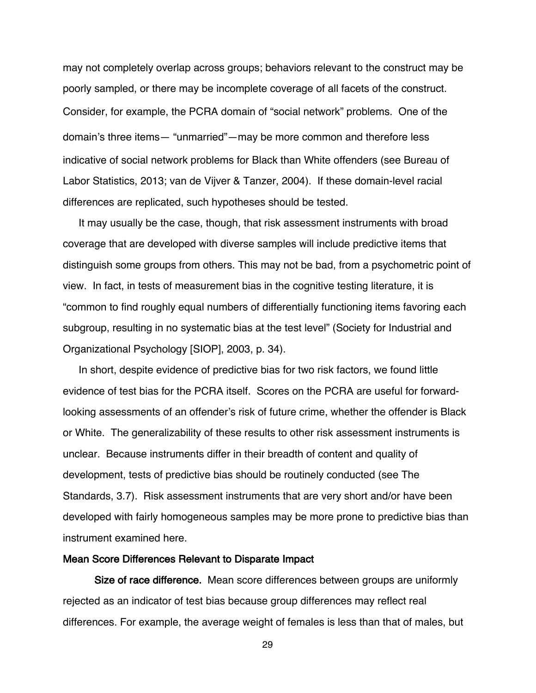may not completely overlap across groups; behaviors relevant to the construct may be poorly sampled, or there may be incomplete coverage of all facets of the construct. Consider, for example, the PCRA domain of "social network" problems. One of the domain's three items— "unmarried"—may be more common and therefore less indicative of social network problems for Black than White offenders (see Bureau of Labor Statistics, 2013; van de Vijver & Tanzer, 2004). If these domain-level racial differences are replicated, such hypotheses should be tested.

It may usually be the case, though, that risk assessment instruments with broad coverage that are developed with diverse samples will include predictive items that distinguish some groups from others. This may not be bad, from a psychometric point of view. In fact, in tests of measurement bias in the cognitive testing literature, it is "common to find roughly equal numbers of differentially functioning items favoring each subgroup, resulting in no systematic bias at the test level" (Society for Industrial and Organizational Psychology [SIOP], 2003, p. 34).

In short, despite evidence of predictive bias for two risk factors, we found little evidence of test bias for the PCRA itself. Scores on the PCRA are useful for forwardlooking assessments of an offender's risk of future crime, whether the offender is Black or White. The generalizability of these results to other risk assessment instruments is unclear. Because instruments differ in their breadth of content and quality of development, tests of predictive bias should be routinely conducted (see The Standards, 3.7). Risk assessment instruments that are very short and/or have been developed with fairly homogeneous samples may be more prone to predictive bias than instrument examined here.

## Mean Score Differences Relevant to Disparate Impact

Size of race difference. Mean score differences between groups are uniformly rejected as an indicator of test bias because group differences may reflect real differences. For example, the average weight of females is less than that of males, but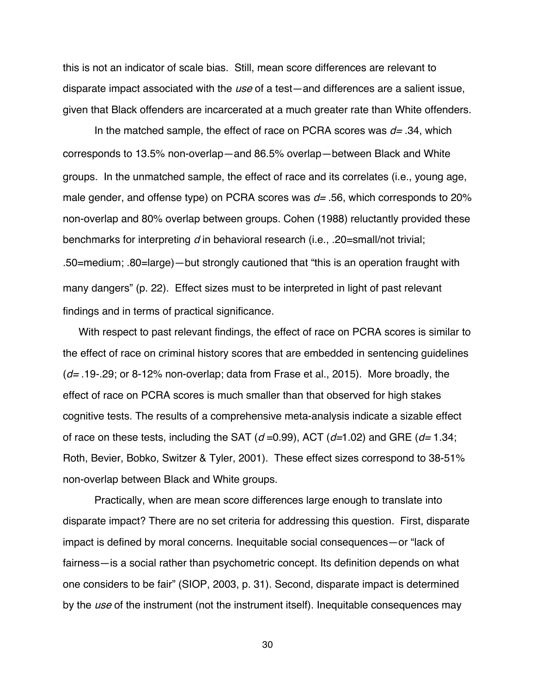this is not an indicator of scale bias. Still, mean score differences are relevant to disparate impact associated with the use of a test—and differences are a salient issue, given that Black offenders are incarcerated at a much greater rate than White offenders.

In the matched sample, the effect of race on PCRA scores was  $d=$  .34, which corresponds to 13.5% non-overlap—and 86.5% overlap—between Black and White groups. In the unmatched sample, the effect of race and its correlates (i.e., young age, male gender, and offense type) on PCRA scores was  $d=$  .56, which corresponds to 20% non-overlap and 80% overlap between groups. Cohen (1988) reluctantly provided these benchmarks for interpreting  $d$  in behavioral research (i.e., .20=small/not trivial; .50=medium; .80=large)—but strongly cautioned that "this is an operation fraught with many dangers" (p. 22). Effect sizes must to be interpreted in light of past relevant findings and in terms of practical significance.

With respect to past relevant findings, the effect of race on PCRA scores is similar to the effect of race on criminal history scores that are embedded in sentencing guidelines  $(d= .19-.29; or 8-12% non-overlap; data from Frase et al., 2015).$  More broadly, the effect of race on PCRA scores is much smaller than that observed for high stakes cognitive tests. The results of a comprehensive meta-analysis indicate a sizable effect of race on these tests, including the SAT ( $d = 0.99$ ), ACT ( $d = 1.02$ ) and GRE ( $d = 1.34$ ; Roth, Bevier, Bobko, Switzer & Tyler, 2001). These effect sizes correspond to 38-51% non-overlap between Black and White groups.

Practically, when are mean score differences large enough to translate into disparate impact? There are no set criteria for addressing this question. First, disparate impact is defined by moral concerns. Inequitable social consequences—or "lack of fairness—is a social rather than psychometric concept. Its definition depends on what one considers to be fair" (SIOP, 2003, p. 31). Second, disparate impact is determined by the use of the instrument (not the instrument itself). Inequitable consequences may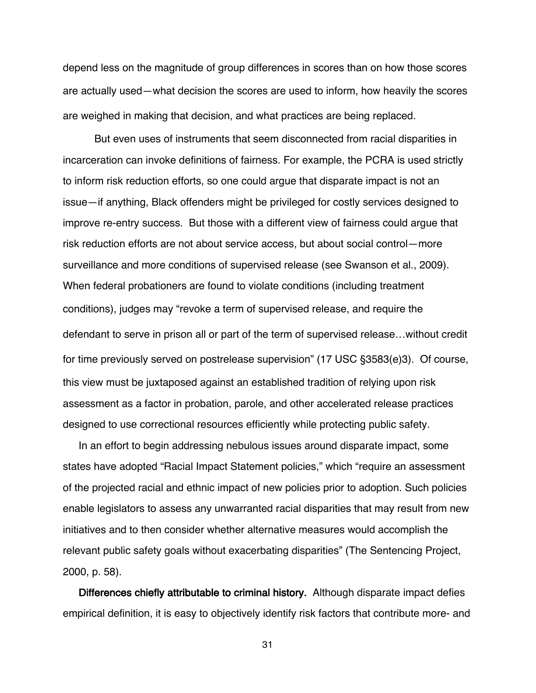depend less on the magnitude of group differences in scores than on how those scores are actually used—what decision the scores are used to inform, how heavily the scores are weighed in making that decision, and what practices are being replaced.

But even uses of instruments that seem disconnected from racial disparities in incarceration can invoke definitions of fairness. For example, the PCRA is used strictly to inform risk reduction efforts, so one could argue that disparate impact is not an issue—if anything, Black offenders might be privileged for costly services designed to improve re-entry success. But those with a different view of fairness could argue that risk reduction efforts are not about service access, but about social control—more surveillance and more conditions of supervised release (see Swanson et al., 2009). When federal probationers are found to violate conditions (including treatment conditions), judges may "revoke a term of supervised release, and require the defendant to serve in prison all or part of the term of supervised release…without credit for time previously served on postrelease supervision" (17 USC §3583(e)3). Of course, this view must be juxtaposed against an established tradition of relying upon risk assessment as a factor in probation, parole, and other accelerated release practices designed to use correctional resources efficiently while protecting public safety.

In an effort to begin addressing nebulous issues around disparate impact, some states have adopted "Racial Impact Statement policies," which "require an assessment of the projected racial and ethnic impact of new policies prior to adoption. Such policies enable legislators to assess any unwarranted racial disparities that may result from new initiatives and to then consider whether alternative measures would accomplish the relevant public safety goals without exacerbating disparities" (The Sentencing Project, 2000, p. 58).

Differences chiefly attributable to criminal history. Although disparate impact defies empirical definition, it is easy to objectively identify risk factors that contribute more- and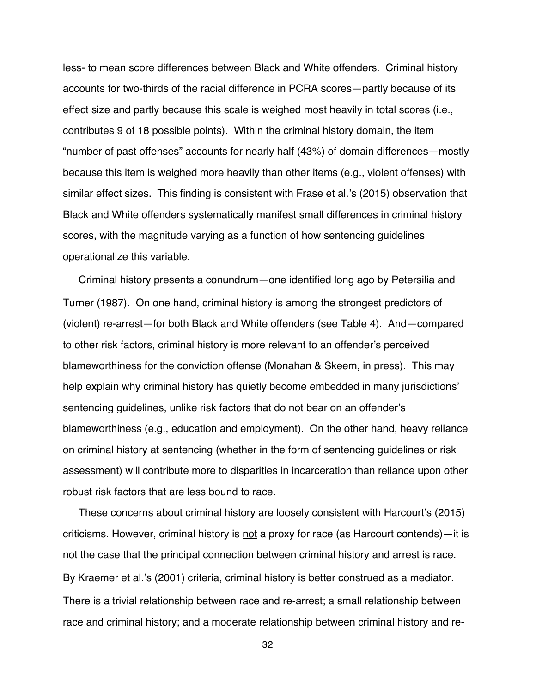less- to mean score differences between Black and White offenders. Criminal history accounts for two-thirds of the racial difference in PCRA scores—partly because of its effect size and partly because this scale is weighed most heavily in total scores (i.e., contributes 9 of 18 possible points). Within the criminal history domain, the item "number of past offenses" accounts for nearly half (43%) of domain differences—mostly because this item is weighed more heavily than other items (e.g., violent offenses) with similar effect sizes. This finding is consistent with Frase et al.'s (2015) observation that Black and White offenders systematically manifest small differences in criminal history scores, with the magnitude varying as a function of how sentencing guidelines operationalize this variable.

Criminal history presents a conundrum—one identified long ago by Petersilia and Turner (1987). On one hand, criminal history is among the strongest predictors of (violent) re-arrest—for both Black and White offenders (see Table 4). And—compared to other risk factors, criminal history is more relevant to an offender's perceived blameworthiness for the conviction offense (Monahan & Skeem, in press). This may help explain why criminal history has quietly become embedded in many jurisdictions' sentencing guidelines, unlike risk factors that do not bear on an offender's blameworthiness (e.g., education and employment). On the other hand, heavy reliance on criminal history at sentencing (whether in the form of sentencing guidelines or risk assessment) will contribute more to disparities in incarceration than reliance upon other robust risk factors that are less bound to race.

These concerns about criminal history are loosely consistent with Harcourt's (2015) criticisms. However, criminal history is not a proxy for race (as Harcourt contends)—it is not the case that the principal connection between criminal history and arrest is race. By Kraemer et al.'s (2001) criteria, criminal history is better construed as a mediator. There is a trivial relationship between race and re-arrest; a small relationship between race and criminal history; and a moderate relationship between criminal history and re-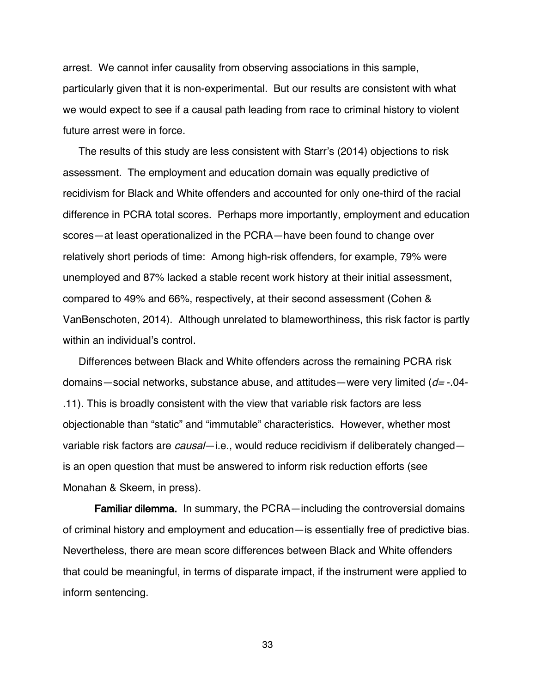arrest. We cannot infer causality from observing associations in this sample, particularly given that it is non-experimental. But our results are consistent with what we would expect to see if a causal path leading from race to criminal history to violent future arrest were in force.

The results of this study are less consistent with Starr's (2014) objections to risk assessment. The employment and education domain was equally predictive of recidivism for Black and White offenders and accounted for only one-third of the racial difference in PCRA total scores. Perhaps more importantly, employment and education scores—at least operationalized in the PCRA—have been found to change over relatively short periods of time: Among high-risk offenders, for example, 79% were unemployed and 87% lacked a stable recent work history at their initial assessment, compared to 49% and 66%, respectively, at their second assessment (Cohen & VanBenschoten, 2014). Although unrelated to blameworthiness, this risk factor is partly within an individual's control.

Differences between Black and White offenders across the remaining PCRA risk domains—social networks, substance abuse, and attitudes—were very limited  $(d= -04-$ .11). This is broadly consistent with the view that variable risk factors are less objectionable than "static" and "immutable" characteristics. However, whether most variable risk factors are *causal*—i.e., would reduce recidivism if deliberately changed is an open question that must be answered to inform risk reduction efforts (see Monahan & Skeem, in press).

Familiar dilemma. In summary, the PCRA—including the controversial domains of criminal history and employment and education—is essentially free of predictive bias. Nevertheless, there are mean score differences between Black and White offenders that could be meaningful, in terms of disparate impact, if the instrument were applied to inform sentencing.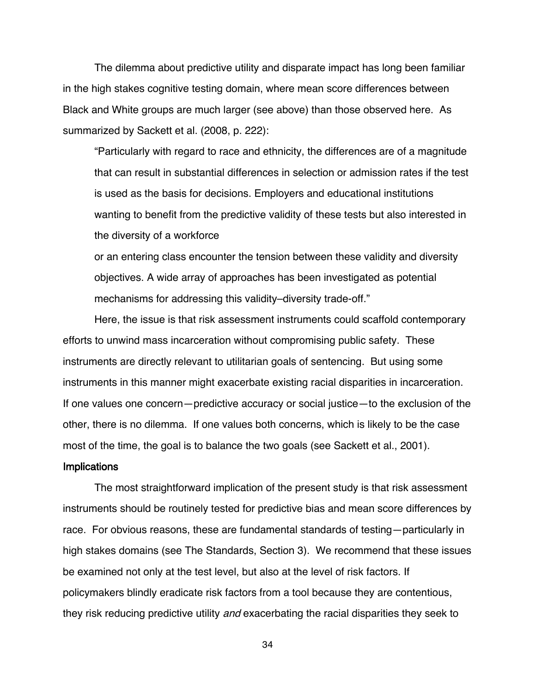The dilemma about predictive utility and disparate impact has long been familiar in the high stakes cognitive testing domain, where mean score differences between Black and White groups are much larger (see above) than those observed here. As summarized by Sackett et al. (2008, p. 222):

"Particularly with regard to race and ethnicity, the differences are of a magnitude that can result in substantial differences in selection or admission rates if the test is used as the basis for decisions. Employers and educational institutions wanting to benefit from the predictive validity of these tests but also interested in the diversity of a workforce

or an entering class encounter the tension between these validity and diversity objectives. A wide array of approaches has been investigated as potential mechanisms for addressing this validity–diversity trade-off."

Here, the issue is that risk assessment instruments could scaffold contemporary efforts to unwind mass incarceration without compromising public safety. These instruments are directly relevant to utilitarian goals of sentencing. But using some instruments in this manner might exacerbate existing racial disparities in incarceration. If one values one concern—predictive accuracy or social justice—to the exclusion of the other, there is no dilemma. If one values both concerns, which is likely to be the case most of the time, the goal is to balance the two goals (see Sackett et al., 2001).

#### **Implications**

The most straightforward implication of the present study is that risk assessment instruments should be routinely tested for predictive bias and mean score differences by race. For obvious reasons, these are fundamental standards of testing—particularly in high stakes domains (see The Standards, Section 3). We recommend that these issues be examined not only at the test level, but also at the level of risk factors. If policymakers blindly eradicate risk factors from a tool because they are contentious, they risk reducing predictive utility and exacerbating the racial disparities they seek to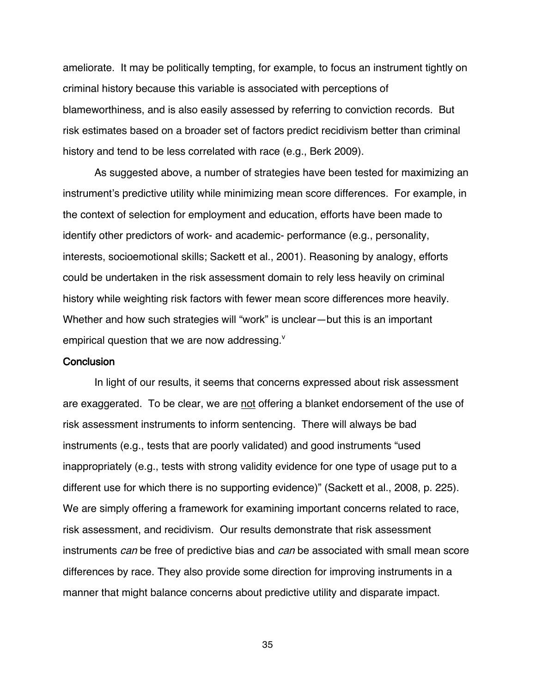ameliorate. It may be politically tempting, for example, to focus an instrument tightly on criminal history because this variable is associated with perceptions of blameworthiness, and is also easily assessed by referring to conviction records. But risk estimates based on a broader set of factors predict recidivism better than criminal history and tend to be less correlated with race (e.g., Berk 2009).

As suggested above, a number of strategies have been tested for maximizing an instrument's predictive utility while minimizing mean score differences. For example, in the context of selection for employment and education, efforts have been made to identify other predictors of work- and academic- performance (e.g., personality, interests, socioemotional skills; Sackett et al., 2001). Reasoning by analogy, efforts could be undertaken in the risk assessment domain to rely less heavily on criminal history while weighting risk factors with fewer mean score differences more heavily. Whether and how such strategies will "work" is unclear—but this is an important empirical question that we are now addressing. $^{\text{v}}$ 

# **Conclusion**

In light of our results, it seems that concerns expressed about risk assessment are exaggerated. To be clear, we are not offering a blanket endorsement of the use of risk assessment instruments to inform sentencing. There will always be bad instruments (e.g., tests that are poorly validated) and good instruments "used inappropriately (e.g., tests with strong validity evidence for one type of usage put to a different use for which there is no supporting evidence)" (Sackett et al., 2008, p. 225). We are simply offering a framework for examining important concerns related to race, risk assessment, and recidivism. Our results demonstrate that risk assessment instruments can be free of predictive bias and can be associated with small mean score differences by race. They also provide some direction for improving instruments in a manner that might balance concerns about predictive utility and disparate impact.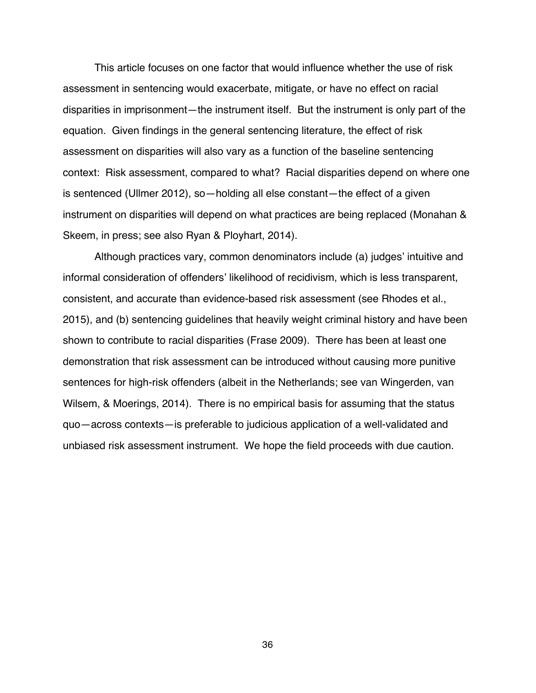This article focuses on one factor that would influence whether the use of risk assessment in sentencing would exacerbate, mitigate, or have no effect on racial disparities in imprisonment—the instrument itself. But the instrument is only part of the equation. Given findings in the general sentencing literature, the effect of risk assessment on disparities will also vary as a function of the baseline sentencing context: Risk assessment, compared to what? Racial disparities depend on where one is sentenced (Ullmer 2012), so—holding all else constant—the effect of a given instrument on disparities will depend on what practices are being replaced (Monahan & Skeem, in press; see also Ryan & Ployhart, 2014).

Although practices vary, common denominators include (a) judges' intuitive and informal consideration of offenders' likelihood of recidivism, which is less transparent, consistent, and accurate than evidence-based risk assessment (see Rhodes et al., 2015), and (b) sentencing guidelines that heavily weight criminal history and have been shown to contribute to racial disparities (Frase 2009). There has been at least one demonstration that risk assessment can be introduced without causing more punitive sentences for high-risk offenders (albeit in the Netherlands; see van Wingerden, van Wilsem, & Moerings, 2014). There is no empirical basis for assuming that the status quo—across contexts—is preferable to judicious application of a well-validated and unbiased risk assessment instrument. We hope the field proceeds with due caution.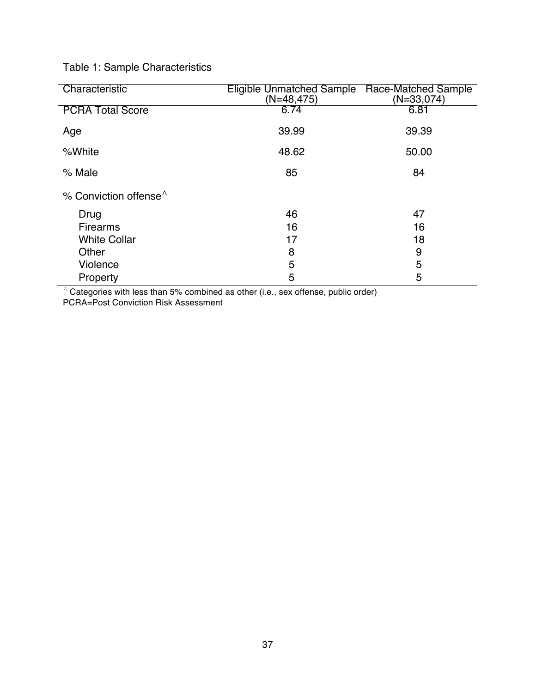Table 1: Sample Characteristics

| Characteristic                | Eligible Unmatched Sample<br>$(N=48, 475)$ | Race-Matched Sample<br>$(N=33,074)$ |
|-------------------------------|--------------------------------------------|-------------------------------------|
| <b>PCRA Total Score</b>       | 6.74                                       | 6.81                                |
| Age                           | 39.99                                      | 39.39                               |
| %White                        | 48.62                                      | 50.00                               |
| % Male                        | 85                                         | 84                                  |
| % Conviction offense $\wedge$ |                                            |                                     |
| Drug                          | 46                                         | 47                                  |
| <b>Firearms</b>               | 16                                         | 16                                  |
| <b>White Collar</b>           | 17                                         | 18                                  |
| Other                         | 8                                          | 9                                   |
| Violence                      | 5                                          | 5                                   |
| Property                      | 5                                          | 5                                   |

 $\overline{\wedge}$  Categories with less than 5% combined as other (i.e., sex offense, public order)

PCRA=Post Conviction Risk Assessment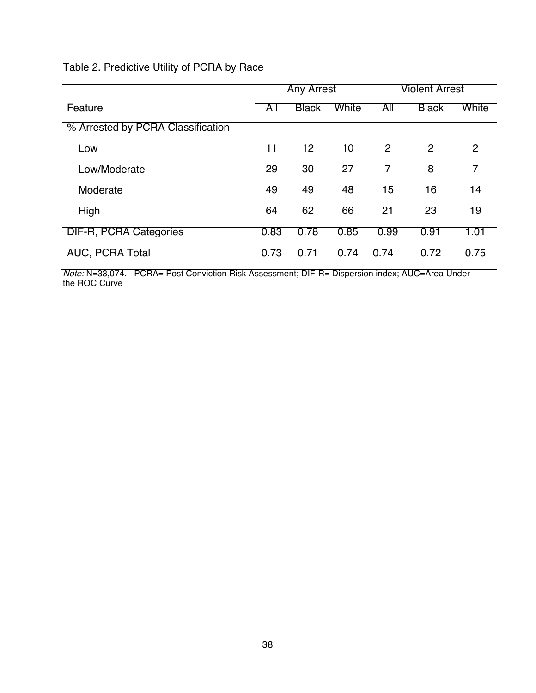# Table 2. Predictive Utility of PCRA by Race

|                                   | <b>Any Arrest</b> |              |       |                | <b>Violent Arrest</b> |       |  |
|-----------------------------------|-------------------|--------------|-------|----------------|-----------------------|-------|--|
| Feature                           | All               | <b>Black</b> | White | All            | <b>Black</b>          | White |  |
| % Arrested by PCRA Classification |                   |              |       |                |                       |       |  |
| Low                               | 11                | 12           | 10    | 2              | $\overline{2}$        | 2     |  |
| Low/Moderate                      | 29                | 30           | 27    | $\overline{7}$ | 8                     | 7     |  |
| Moderate                          | 49                | 49           | 48    | 15             | 16                    | 14    |  |
| High                              | 64                | 62           | 66    | 21             | 23                    | 19    |  |
| <b>DIF-R, PCRA Categories</b>     | 0.83              | 0.78         | 0.85  | 0.99           | 0.91                  | 1.01  |  |
| AUC, PCRA Total                   | 0.73              | 0.71         | 0.74  | 0.74           | 0.72                  | 0.75  |  |

Note: N=33,074. PCRA= Post Conviction Risk Assessment; DIF-R= Dispersion index; AUC=Area Under the ROC Curve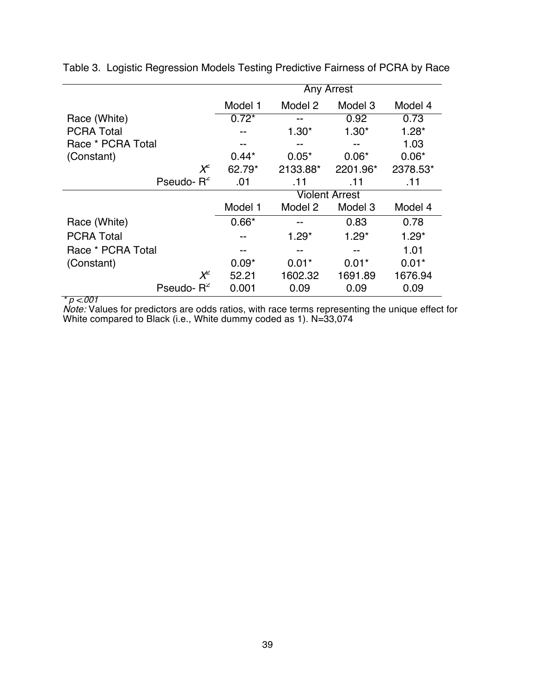|                   | <b>Any Arrest</b>     |          |          |          |  |  |  |
|-------------------|-----------------------|----------|----------|----------|--|--|--|
|                   | Model 1               | Model 2  | Model 3  | Model 4  |  |  |  |
| Race (White)      | $0.72*$               | --       | 0.92     | 0.73     |  |  |  |
| <b>PCRA Total</b> |                       | $1.30*$  | $1.30*$  | $1.28*$  |  |  |  |
| Race * PCRA Total |                       |          |          | 1.03     |  |  |  |
| (Constant)        | $0.44*$               | $0.05*$  | $0.06*$  | $0.06*$  |  |  |  |
| $X^2$             | 62.79*                | 2133.88* | 2201.96* | 2378.53* |  |  |  |
| Pseudo- $R^2$     | .01                   | .11      | .11      | .11      |  |  |  |
|                   | <b>Violent Arrest</b> |          |          |          |  |  |  |
|                   | Model 1               | Model 2  | Model 3  | Model 4  |  |  |  |
| Race (White)      | $0.66*$               | --       | 0.83     | 0.78     |  |  |  |
| <b>PCRA Total</b> |                       | $1.29*$  | $1.29*$  | $1.29*$  |  |  |  |
| Race * PCRA Total | --                    | --       | --       | 1.01     |  |  |  |
| (Constant)        | $0.09*$               | $0.01*$  | $0.01*$  | $0.01*$  |  |  |  |
| $X^2$             | 52.21                 | 1602.32  | 1691.89  | 1676.94  |  |  |  |
| Pseudo- $R^2$     | 0.001                 | 0.09     | 0.09     | 0.09     |  |  |  |

Table 3. Logistic Regression Models Testing Predictive Fairness of PCRA by Race

\* p <.001

*Note:* Values for predictors are odds ratios, with race terms representing the unique effect for White compared to Black (i.e., White dummy coded as 1). N=33,074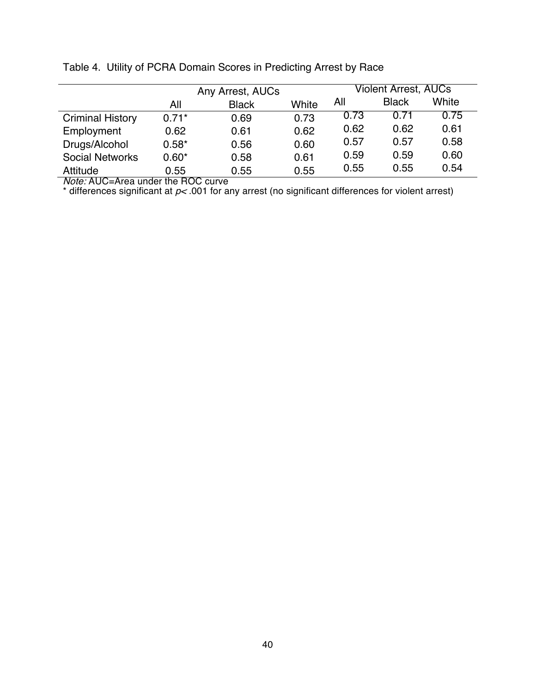|                         | Any Arrest, AUCs |              |       | Violent Arrest, AUCs |              |       |  |
|-------------------------|------------------|--------------|-------|----------------------|--------------|-------|--|
|                         | All              | <b>Black</b> | White | All                  | <b>Black</b> | White |  |
| <b>Criminal History</b> | $0.71*$          | 0.69         | 0.73  | 0.73                 | 0.71         | 0.75  |  |
| Employment              | 0.62             | 0.61         | 0.62  | 0.62                 | 0.62         | 0.61  |  |
| Drugs/Alcohol           | $0.58*$          | 0.56         | 0.60  | 0.57                 | 0.57         | 0.58  |  |
| <b>Social Networks</b>  | $0.60*$          | 0.58         | 0.61  | 0.59                 | 0.59         | 0.60  |  |
| Attitude                | 0.55             | 0.55         | 0.55  | 0.55                 | 0.55         | 0.54  |  |

Table 4. Utility of PCRA Domain Scores in Predicting Arrest by Race

Note: AUC=Area under the ROC curve

 $^*$  differences significant at  $p<$  001 for any arrest (no significant differences for violent arrest)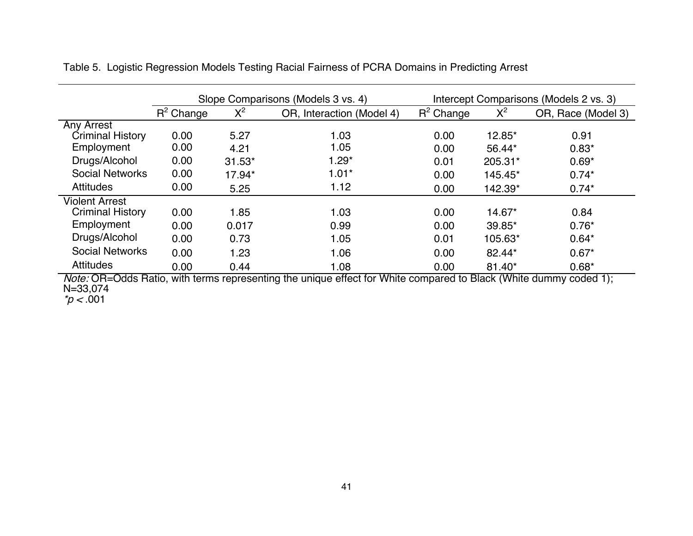|                         |              |          | Slope Comparisons (Models 3 vs. 4) | Intercept Comparisons (Models 2 vs. 3) |          |                    |  |
|-------------------------|--------------|----------|------------------------------------|----------------------------------------|----------|--------------------|--|
|                         | $R^2$ Change | $X^2$    | OR, Interaction (Model 4)          | $R^2$ Change                           | $X^2$    | OR, Race (Model 3) |  |
| <b>Any Arrest</b>       |              |          |                                    |                                        |          |                    |  |
| Criminal History        | 0.00         | 5.27     | 1.03                               | 0.00                                   | 12.85*   | 0.91               |  |
| Employment              | 0.00         | 4.21     | 1.05                               | 0.00                                   | 56.44*   | $0.83*$            |  |
| Drugs/Alcohol           | 0.00         | $31.53*$ | $1.29*$                            | 0.01                                   | 205.31*  | $0.69*$            |  |
| <b>Social Networks</b>  | 0.00         | 17.94*   | $1.01*$                            | 0.00                                   | 145.45*  | $0.74*$            |  |
| <b>Attitudes</b>        | 0.00         | 5.25     | 1.12                               | 0.00                                   | 142.39*  | $0.74*$            |  |
| <b>Violent Arrest</b>   |              |          |                                    |                                        |          |                    |  |
| <b>Criminal History</b> | 0.00         | 1.85     | 1.03                               | 0.00                                   | 14.67*   | 0.84               |  |
| Employment              | 0.00         | 0.017    | 0.99                               | 0.00                                   | 39.85*   | $0.76*$            |  |
| Drugs/Alcohol           | 0.00         | 0.73     | 1.05                               | 0.01                                   | 105.63*  | $0.64*$            |  |
| <b>Social Networks</b>  | 0.00         | 1.23     | 1.06                               | 0.00                                   | 82.44*   | $0.67*$            |  |
| <b>Attitudes</b>        | 0.00         | 0.44     | 1.08                               | 0.00                                   | $81.40*$ | $0.68*$            |  |

Table 5. Logistic Regression Models Testing Racial Fairness of PCRA Domains in Predicting Arrest

Note: OR=Odds Ratio, with terms representing the unique effect for White compared to Black (White dummy coded 1); N=33,074

 $p < 0.001$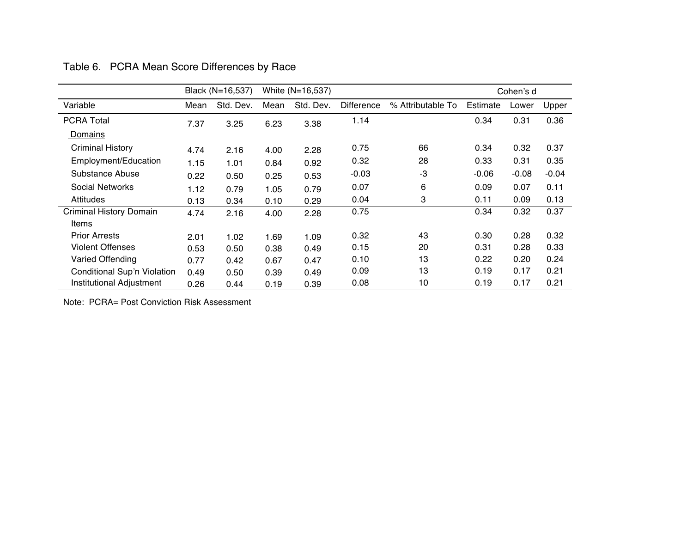|                                    |      | Black (N=16,537) |      | White (N=16,537) |                   |                   | Cohen's d |         |         |
|------------------------------------|------|------------------|------|------------------|-------------------|-------------------|-----------|---------|---------|
| Variable                           | Mean | Std. Dev.        | Mean | Std. Dev.        | <b>Difference</b> | % Attributable To | Estimate  | Lower   | Upper   |
| <b>PCRA Total</b>                  | 7.37 | 3.25             | 6.23 | 3.38             | 1.14              |                   | 0.34      | 0.31    | 0.36    |
| <b>Domains</b>                     |      |                  |      |                  |                   |                   |           |         |         |
| <b>Criminal History</b>            | 4.74 | 2.16             | 4.00 | 2.28             | 0.75              | 66                | 0.34      | 0.32    | 0.37    |
| Employment/Education               | 1.15 | 1.01             | 0.84 | 0.92             | 0.32              | 28                | 0.33      | 0.31    | 0.35    |
| Substance Abuse                    | 0.22 | 0.50             | 0.25 | 0.53             | $-0.03$           | -3                | $-0.06$   | $-0.08$ | $-0.04$ |
| <b>Social Networks</b>             | 1.12 | 0.79             | 1.05 | 0.79             | 0.07              | 6                 | 0.09      | 0.07    | 0.11    |
| <b>Attitudes</b>                   | 0.13 | 0.34             | 0.10 | 0.29             | 0.04              | 3                 | 0.11      | 0.09    | 0.13    |
| <b>Criminal History Domain</b>     | 4.74 | 2.16             | 4.00 | 2.28             | 0.75              |                   | 0.34      | 0.32    | 0.37    |
| Items                              |      |                  |      |                  |                   |                   |           |         |         |
| <b>Prior Arrests</b>               | 2.01 | 1.02             | 1.69 | 1.09             | 0.32              | 43                | 0.30      | 0.28    | 0.32    |
| <b>Violent Offenses</b>            | 0.53 | 0.50             | 0.38 | 0.49             | 0.15              | 20                | 0.31      | 0.28    | 0.33    |
| Varied Offending                   | 0.77 | 0.42             | 0.67 | 0.47             | 0.10              | 13                | 0.22      | 0.20    | 0.24    |
| <b>Conditional Sup'n Violation</b> | 0.49 | 0.50             | 0.39 | 0.49             | 0.09              | 13                | 0.19      | 0.17    | 0.21    |
| <b>Institutional Adjustment</b>    | 0.26 | 0.44             | 0.19 | 0.39             | 0.08              | 10                | 0.19      | 0.17    | 0.21    |

Table 6. PCRA Mean Score Differences by Race

Note: PCRA= Post Conviction Risk Assessment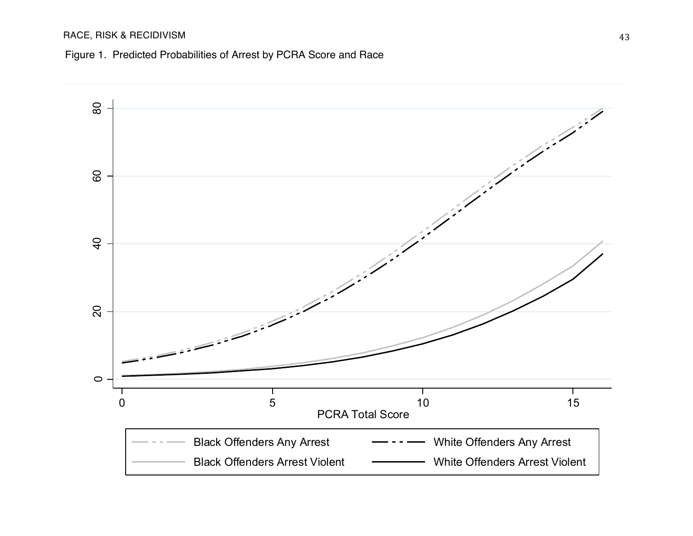# RACE, RISK & RECIDIVISM

Figure 1. Predicted Probabilities of Arrest by PCRA Score and Race

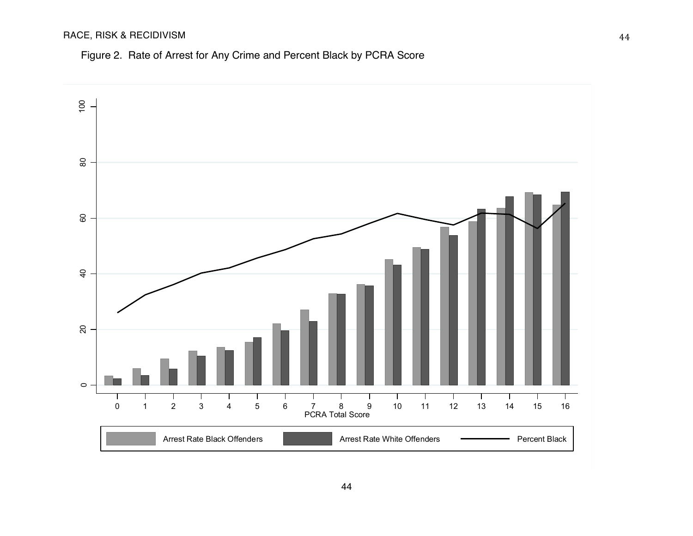# RACE, RISK & RECIDIVISM

# Figure 2. Rate of Arrest for Any Crime and Percent Black by PCRA Score

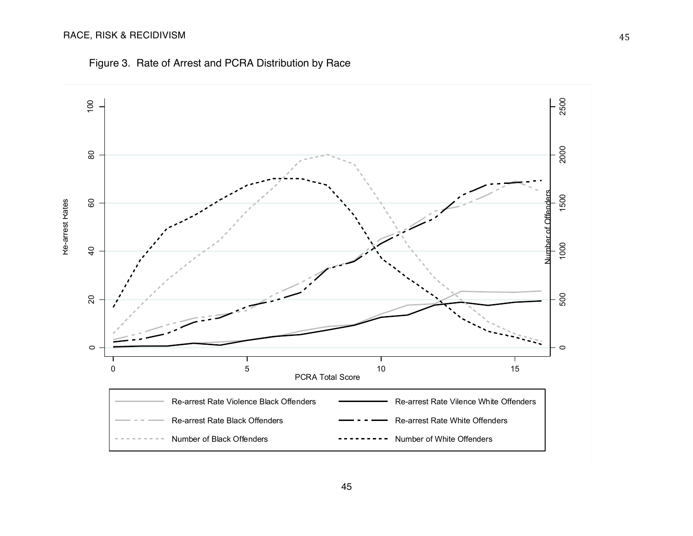# RACE, RISK & RECIDIVISM



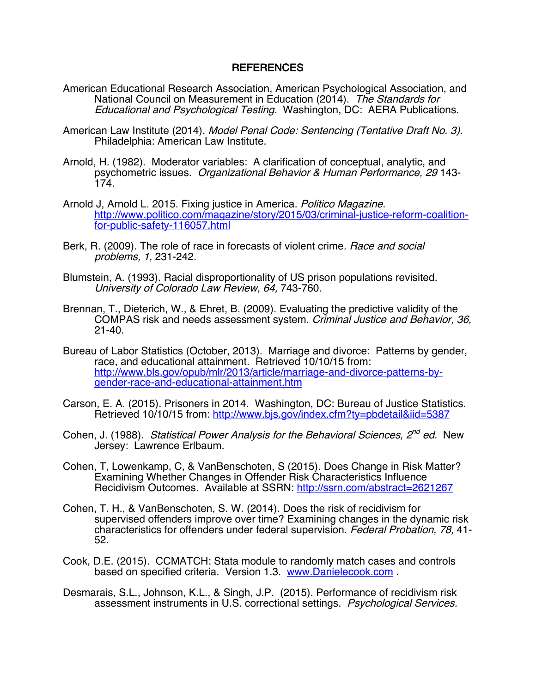# REFERENCES

- American Educational Research Association, American Psychological Association, and National Council on Measurement in Education (2014). The Standards for Educational and Psychological Testing. Washington, DC: AERA Publications.
- American Law Institute (2014). Model Penal Code: Sentencing (Tentative Draft No. 3). Philadelphia: American Law Institute.
- Arnold, H. (1982). Moderator variables: A clarification of conceptual, analytic, and psychometric issues. Organizational Behavior & Human Performance, 29 143- 174.
- Arnold J, Arnold L. 2015. Fixing justice in America. Politico Magazine. http://www.politico.com/magazine/story/2015/03/criminal-justice-reform-coalitionfor-public-safety-116057.html
- Berk, R. (2009). The role of race in forecasts of violent crime. Race and social problems, 1, 231-242.
- Blumstein, A. (1993). Racial disproportionality of US prison populations revisited. University of Colorado Law Review, 64, 743-760.
- Brennan, T., Dieterich, W., & Ehret, B. (2009). Evaluating the predictive validity of the COMPAS risk and needs assessment system. Criminal Justice and Behavior, 36, 21-40.
- Bureau of Labor Statistics (October, 2013). Marriage and divorce: Patterns by gender, race, and educational attainment. Retrieved 10/10/15 from: http://www.bls.gov/opub/mlr/2013/article/marriage-and-divorce-patterns-bygender-race-and-educational-attainment.htm
- Carson, E. A. (2015). Prisoners in 2014. Washington, DC: Bureau of Justice Statistics. Retrieved 10/10/15 from: http://www.bjs.gov/index.cfm?ty=pbdetail&iid=5387
- Cohen, J. (1988). Statistical Power Analysis for the Behavioral Sciences,  $2^{nd}$  ed. New Jersey: Lawrence Erlbaum.
- Cohen, T, Lowenkamp, C, & VanBenschoten, S (2015). Does Change in Risk Matter? Examining Whether Changes in Offender Risk Characteristics Influence Recidivism Outcomes. Available at SSRN: http://ssrn.com/abstract=2621267
- Cohen, T. H., & VanBenschoten, S. W. (2014). Does the risk of recidivism for supervised offenders improve over time? Examining changes in the dynamic risk characteristics for offenders under federal supervision. Federal Probation, 78, 41-<br>52.
- Cook, D.E. (2015). CCMATCH: Stata module to randomly match cases and controls based on specified criteria. Version 1.3. www.Danielecook.com .
- Desmarais, S.L., Johnson, K.L., & Singh, J.P. (2015). Performance of recidivism risk assessment instruments in U.S. correctional settings. Psychological Services.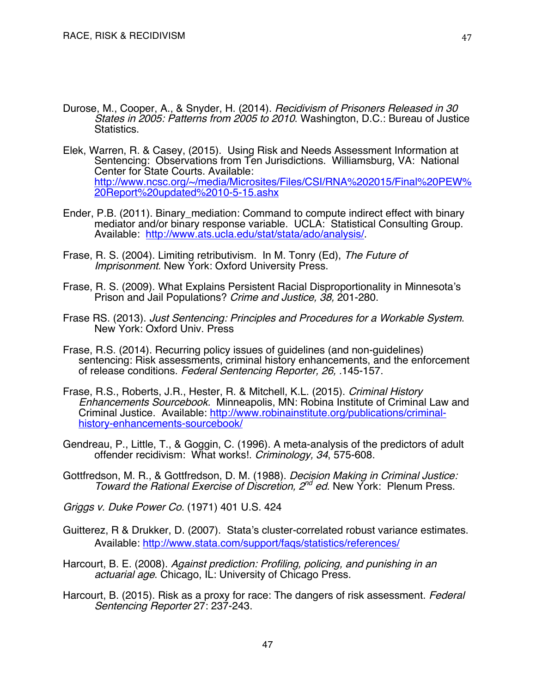- Durose, M., Cooper, A., & Snyder, H. (2014). Recidivism of Prisoners Released in 30 States in 2005: Patterns from 2005 to 2010. Washington, D.C.: Bureau of Justice Statistics.
- Elek, Warren, R. & Casey, (2015). Using Risk and Needs Assessment Information at Sentencing: Observations from Ten Jurisdictions. Williamsburg, VA: National Center for State Courts. Available: http://www.ncsc.org/~/media/Microsites/Files/CSI/RNA%202015/Final%20PEW% 20Report%20updated%2010-5-15.ashx
- Ender, P.B. (2011). Binary\_mediation: Command to compute indirect effect with binary mediator and/or binary response variable. UCLA: Statistical Consulting Group. Available: http://www.ats.ucla.edu/stat/stata/ado/analysis/.
- Frase, R. S. (2004). Limiting retributivism. In M. Tonry (Ed), The Future of Imprisonment. New York: Oxford University Press.
- Frase, R. S. (2009). What Explains Persistent Racial Disproportionality in Minnesota's Prison and Jail Populations? Crime and Justice, 38, 201-280.
- Frase RS. (2013). Just Sentencing: Principles and Procedures for a Workable System. New York: Oxford Univ. Press
- Frase, R.S. (2014). Recurring policy issues of guidelines (and non-guidelines) sentencing: Risk assessments, criminal history enhancements, and the enforcement of release conditions. Federal Sentencing Reporter, 26, .145-157.
- Frase, R.S., Roberts, J.R., Hester, R. & Mitchell, K.L. (2015). Criminal History Enhancements Sourcebook. Minneapolis, MN: Robina Institute of Criminal Law and Criminal Justice. Available: http://www.robinainstitute.org/publications/criminalhistory-enhancements-sourcebook/
- Gendreau, P., Little, T., & Goggin, C. (1996). A meta-analysis of the predictors of adult offender recidivism: What works!. Criminology, 34, 575-608.
- Gottfredson, M. R., & Gottfredson, D. M. (1988). Decision Making in Criminal Justice: Toward the Rational Exercise of Discretion, 2<sup>nd</sup> ed. New York: Plenum Press.
- Griggs v. Duke Power Co. (1971) 401 U.S. 424
- Guitterez, R & Drukker, D. (2007). Stata's cluster-correlated robust variance estimates. Available: http://www.stata.com/support/faqs/statistics/references/
- Harcourt, B. E. (2008). Against prediction: Profiling, policing, and punishing in an actuarial age. Chicago, IL: University of Chicago Press.
- Harcourt, B. (2015). Risk as a proxy for race: The dangers of risk assessment. *Federal* Sentencing Reporter 27: 237-243.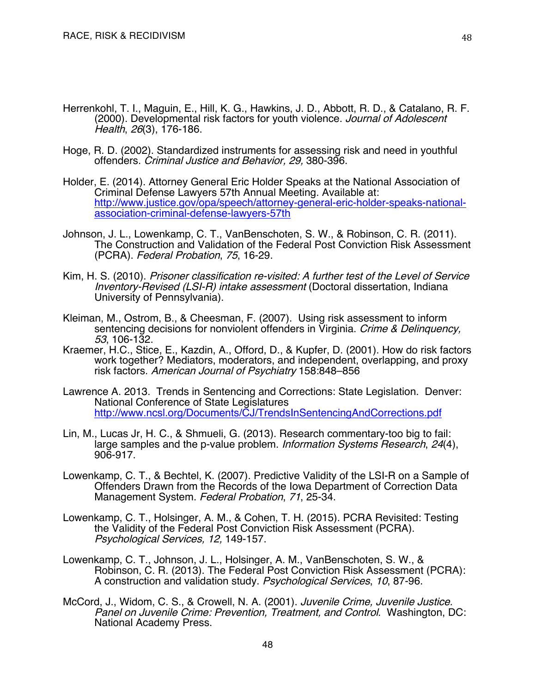- Herrenkohl, T. I., Maguin, E., Hill, K. G., Hawkins, J. D., Abbott, R. D., & Catalano, R. F. (2000). Developmental risk factors for youth violence. Journal of Adolescent Health, 26(3), 176-186.
- Hoge, R. D. (2002). Standardized instruments for assessing risk and need in youthful offenders. Criminal Justice and Behavior, 29, 380-396.
- Holder, E. (2014). Attorney General Eric Holder Speaks at the National Association of Criminal Defense Lawyers 57th Annual Meeting. Available at: http://www.justice.gov/opa/speech/attorney-general-eric-holder-speaks-national- association-criminal-defense-lawyers-57th
- Johnson, J. L., Lowenkamp, C. T., VanBenschoten, S. W., & Robinson, C. R. (2011). The Construction and Validation of the Federal Post Conviction Risk Assessment (PCRA). Federal Probation, 75, 16-29.
- Kim, H. S. (2010). Prisoner classification re-visited: A further test of the Level of Service Inventory-Revised (LSI-R) intake assessment (Doctoral dissertation, Indiana University of Pennsylvania).
- Kleiman, M., Ostrom, B., & Cheesman, F. (2007). Using risk assessment to inform sentencing decisions for nonviolent offenders in Virginia. Crime & Delinquency, 53, 106-132.
- Kraemer, H.C., Stice, E., Kazdin, A., Offord, D., & Kupfer, D. (2001). How do risk factors work together? Mediators, moderators, and independent, overlapping, and proxy risk factors. American Journal of Psychiatry 158:848–856
- Lawrence A. 2013. Trends in Sentencing and Corrections: State Legislation. Denver: National Conference of State Legislatures http://www.ncsl.org/Documents/CJ/TrendsInSentencingAndCorrections.pdf
- Lin, M., Lucas Jr, H. C., & Shmueli, G. (2013). Research commentary-too big to fail: large samples and the p-value problem. *Information Systems Research*, 24(4), 906-917.
- Lowenkamp, C. T., & Bechtel, K. (2007). Predictive Validity of the LSI-R on a Sample of Offenders Drawn from the Records of the Iowa Department of Correction Data Management System. Federal Probation, 71, 25-34.
- Lowenkamp, C. T., Holsinger, A. M., & Cohen, T. H. (2015). PCRA Revisited: Testing the Validity of the Federal Post Conviction Risk Assessment (PCRA). Psychological Services, 12, 149-157.
- Lowenkamp, C. T., Johnson, J. L., Holsinger, A. M., VanBenschoten, S. W., & Robinson, C. R. (2013). The Federal Post Conviction Risk Assessment (PCRA): A construction and validation study. Psychological Services, 10, 87-96.
- McCord, J., Widom, C. S., & Crowell, N. A. (2001). Juvenile Crime, Juvenile Justice. Panel on Juvenile Crime: Prevention, Treatment, and Control. Washington, DC: National Academy Press.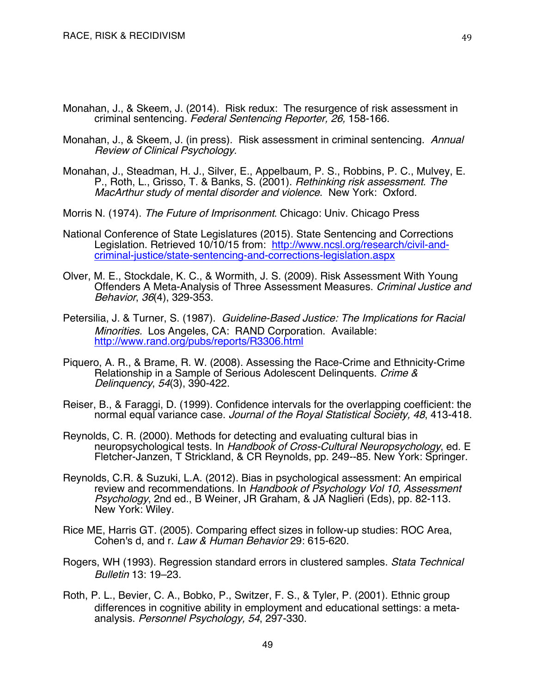- Monahan, J., & Skeem, J. (2014). Risk redux: The resurgence of risk assessment in criminal sentencing. Federal Sentencing Reporter, 26, 158-166.
- Monahan, J., & Skeem, J. (in press). Risk assessment in criminal sentencing. Annual Review of Clinical Psychology.
- Monahan, J., Steadman, H. J., Silver, E., Appelbaum, P. S., Robbins, P. C., Mulvey, E. P., Roth, L., Grisso, T. & Banks, S. (2001). Rethinking risk assessment. The MacArthur study of mental disorder and violence. New York: Oxford.
- Morris N. (1974). The Future of Imprisonment. Chicago: Univ. Chicago Press
- National Conference of State Legislatures (2015). State Sentencing and Corrections Legislation. Retrieved 10/10/15 from: http://www.ncsl.org/research/civil-andcriminal-justice/state-sentencing-and-corrections-legislation.aspx
- Olver, M. E., Stockdale, K. C., & Wormith, J. S. (2009). Risk Assessment With Young Offenders A Meta-Analysis of Three Assessment Measures. Criminal Justice and Behavior, 36(4), 329-353.
- Petersilia, J. & Turner, S. (1987). Guideline-Based Justice: The Implications for Racial Minorities. Los Angeles, CA: RAND Corporation. Available: http://www.rand.org/pubs/reports/R3306.html
- Piquero, A. R., & Brame, R. W. (2008). Assessing the Race-Crime and Ethnicity-Crime Relationship in a Sample of Serious Adolescent Delinquents. Crime & Delinquency, 54(3), 390-422.
- Reiser, B., & Faraggi, D. (1999). Confidence intervals for the overlapping coefficient: the normal equal variance case. Journal of the Royal Statistical Society, 48, 413-418.
- Reynolds, C. R. (2000). Methods for detecting and evaluating cultural bias in neuropsychological tests. In Handbook of Cross-Cultural Neuropsychology, ed. E Fletcher-Janzen, T Strickland, & CR Reynolds, pp. 249--85. New York: Springer.
- Reynolds, C.R. & Suzuki, L.A. (2012). Bias in psychological assessment: An empirical review and recommendations. In Handbook of Psychology Vol 10, Assessment Psychology, 2nd ed., B Weiner, JR Graham, & JA Naglieri (Eds), pp. 82-113. New York: Wiley.
- Rice ME, Harris GT. (2005). Comparing effect sizes in follow-up studies: ROC Area, Cohen's d, and r. Law & Human Behavior 29: 615-620.
- Rogers, WH (1993). Regression standard errors in clustered samples. Stata Technical Bulletin 13: 19–23.
- Roth, P. L., Bevier, C. A., Bobko, P., Switzer, F. S., & Tyler, P. (2001). Ethnic group differences in cognitive ability in employment and educational settings: a meta**‐** analysis. Personnel Psychology, 54, 297-330.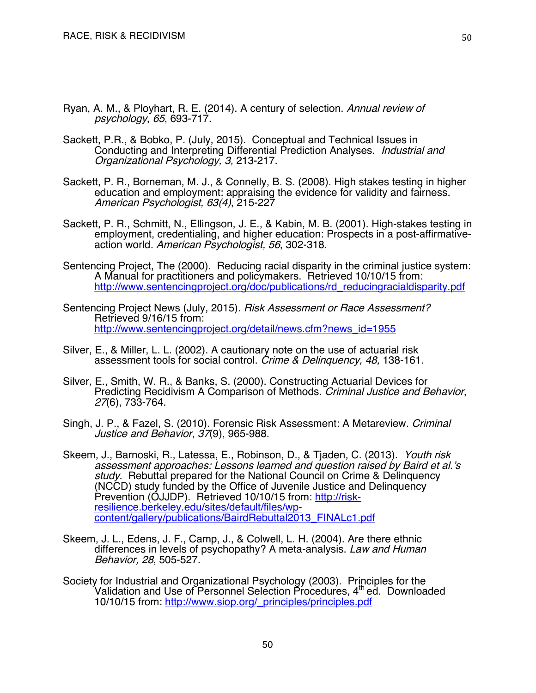- Ryan, A. M., & Ployhart, R. E. (2014). A century of selection. Annual review of psychology, 65, 693-717.
- Sackett, P.R., & Bobko, P. (July, 2015). Conceptual and Technical Issues in Conducting and Interpreting Differential Prediction Analyses. Industrial and Organizational Psychology, 3, 213-217.
- Sackett, P. R., Borneman, M. J., & Connelly, B. S. (2008). High stakes testing in higher education and employment: appraising the evidence for validity and fairness. American Psychologist, 63(4), 215-227
- Sackett, P. R., Schmitt, N., Ellingson, J. E., & Kabin, M. B. (2001). High-stakes testing in employment, credentialing, and higher education: Prospects in a post-affirmativeaction world. American Psychologist, 56, 302-318.
- Sentencing Project, The (2000). Reducing racial disparity in the criminal justice system: A Manual for practitioners and policymakers. Retrieved 10/10/15 from: http://www.sentencingproject.org/doc/publications/rd\_reducingracialdisparity.pdf
- Sentencing Project News (July, 2015). Risk Assessment or Race Assessment? Retrieved 9/16/15 from: http://www.sentencingproject.org/detail/news.cfm?news\_id=1955
- Silver, E., & Miller, L. L. (2002). A cautionary note on the use of actuarial risk assessment tools for social control. Crime & Delinquency, 48, 138-161.
- Silver, E., Smith, W. R., & Banks, S. (2000). Constructing Actuarial Devices for Predicting Recidivism A Comparison of Methods. Criminal Justice and Behavior, 27(6), 733-764.
- Singh, J. P., & Fazel, S. (2010). Forensic Risk Assessment: A Metareview. Criminal Justice and Behavior, 37(9), 965-988.
- Skeem, J., Barnoski, R., Latessa, E., Robinson, D., & Tjaden, C. (2013). Youth risk assessment approaches: Lessons learned and question raised by Baird et al.'s study. Rebuttal prepared for the National Council on Crime & Delinquency (NCCD) study funded by the Office of Juvenile Justice and Delinquency Prevention (OJJDP). Retrieved 10/10/15 from: http://riskresilience.berkeley.edu/sites/default/files/wpcontent/gallery/publications/BairdRebuttal2013\_FINALc1.pdf
- Skeem, J. L., Edens, J. F., Camp, J., & Colwell, L. H. (2004). Are there ethnic differences in levels of psychopathy? A meta-analysis. Law and Human Behavior, 28, 505-527.
- Society for Industrial and Organizational Psychology (2003). Principles for the Validation and Use of Personnel Selection Procedures, 4<sup>th</sup> ed. Downloaded 10/10/15 from: http://www.siop.org/\_principles/principles.pdf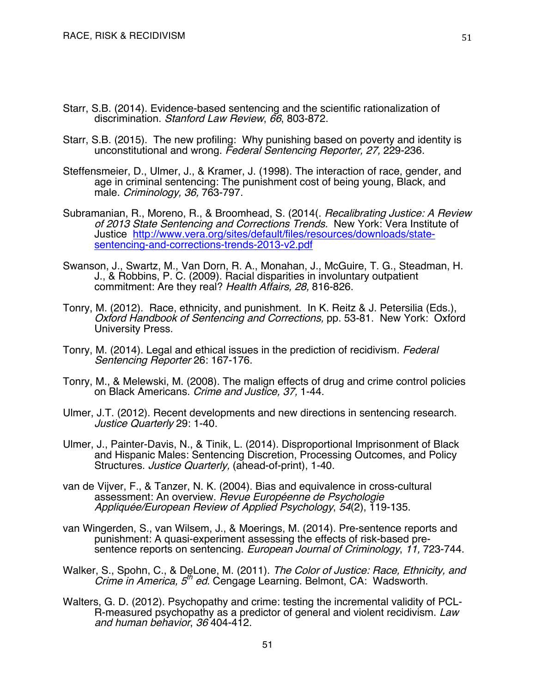- Starr, S.B. (2014). Evidence-based sentencing and the scientific rationalization of discrimination. Stanford Law Review, 66, 803-872.
- Starr, S.B. (2015). The new profiling: Why punishing based on poverty and identity is unconstitutional and wrong. Federal Sentencing Reporter, 27, 229-236.
- Steffensmeier, D., Ulmer, J., & Kramer, J. (1998). The interaction of race, gender, and age in criminal sentencing: The punishment cost of being young, Black, and male. Criminology, 36, 763-797.
- Subramanian, R., Moreno, R., & Broomhead, S. (2014(. Recalibrating Justice: A Review of 2013 State Sentencing and Corrections Trends. New York: Vera Institute of Justice http://www.vera.org/sites/default/files/resources/downloads/statesentencing-and-corrections-trends-2013-v2.pdf
- Swanson, J., Swartz, M., Van Dorn, R. A., Monahan, J., McGuire, T. G., Steadman, H. J., & Robbins, P. C. (2009). Racial disparities in involuntary outpatient commitment: Are they real? Health Affairs, 28, 816-826.
- Tonry, M. (2012). Race, ethnicity, and punishment. In K. Reitz & J. Petersilia (Eds.), Oxford Handbook of Sentencing and Corrections, pp. 53-81. New York: Oxford University Press.
- Tonry, M. (2014). Legal and ethical issues in the prediction of recidivism. Federal Sentencing Reporter 26: 167-176.
- Tonry, M., & Melewski, M. (2008). The malign effects of drug and crime control policies on Black Americans. Crime and Justice, 37, 1-44.
- Ulmer, J.T. (2012). Recent developments and new directions in sentencing research. Justice Quarterly 29: 1-40.
- Ulmer, J., Painter-Davis, N., & Tinik, L. (2014). Disproportional Imprisonment of Black and Hispanic Males: Sentencing Discretion, Processing Outcomes, and Policy Structures. *Justice Quarterly*, (ahead-of-print), 1-40.
- van de Vijver, F., & Tanzer, N. K. (2004). Bias and equivalence in cross-cultural assessment: An overview. Revue Européenne de Psychologie Appliquée/European Review of Applied Psychology, 54(2), 119-135.
- van Wingerden, S., van Wilsem, J., & Moerings, M. (2014). Pre-sentence reports and punishment: A quasi-experiment assessing the effects of risk-based presentence reports on sentencing. European Journal of Criminology, 11, 723-744.
- Walker, S., Spohn, C., & DeLone, M. (2011). The Color of Justice: Race, Ethnicity, and Crime in America,  $5<sup>th</sup>$  ed. Cengage Learning. Belmont, CA: Wadsworth.
- Walters, G. D. (2012). Psychopathy and crime: testing the incremental validity of PCL-<br>R-measured psychopathy as a predictor of general and violent recidivism. Law and human behavior, 36 404-412.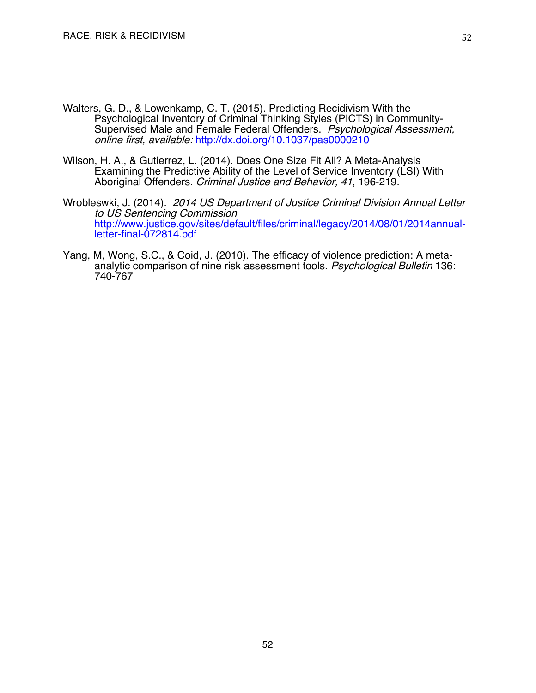- Walters, G. D., & Lowenkamp, C. T. (2015). Predicting Recidivism With the<br>Psychological Inventory of Criminal Thinking Styles (PICTS) in Community-Supervised Male and Female Federal Offenders. Psychological Assessment, online first, available: http://dx.doi.org/10.1037/pas0000210
- Wilson, H. A., & Gutierrez, L. (2014). Does One Size Fit All? A Meta-Analysis Examining the Predictive Ability of the Level of Service Inventory (LSI) With Aboriginal Offenders. Criminal Justice and Behavior, 41, 196-219.
- Wrobleswki, J. (2014). 2014 US Department of Justice Criminal Division Annual Letter to US Sentencing Commission http://www.justice.gov/sites/default/files/criminal/legacy/2014/08/01/2014annual-<br>letter-final-072814.pdf
- Yang, M, Wong, S.C., & Coid, J. (2010). The efficacy of violence prediction: A metaanalytic comparison of nine risk assessment tools. Psychological Bulletin 136: 740-767